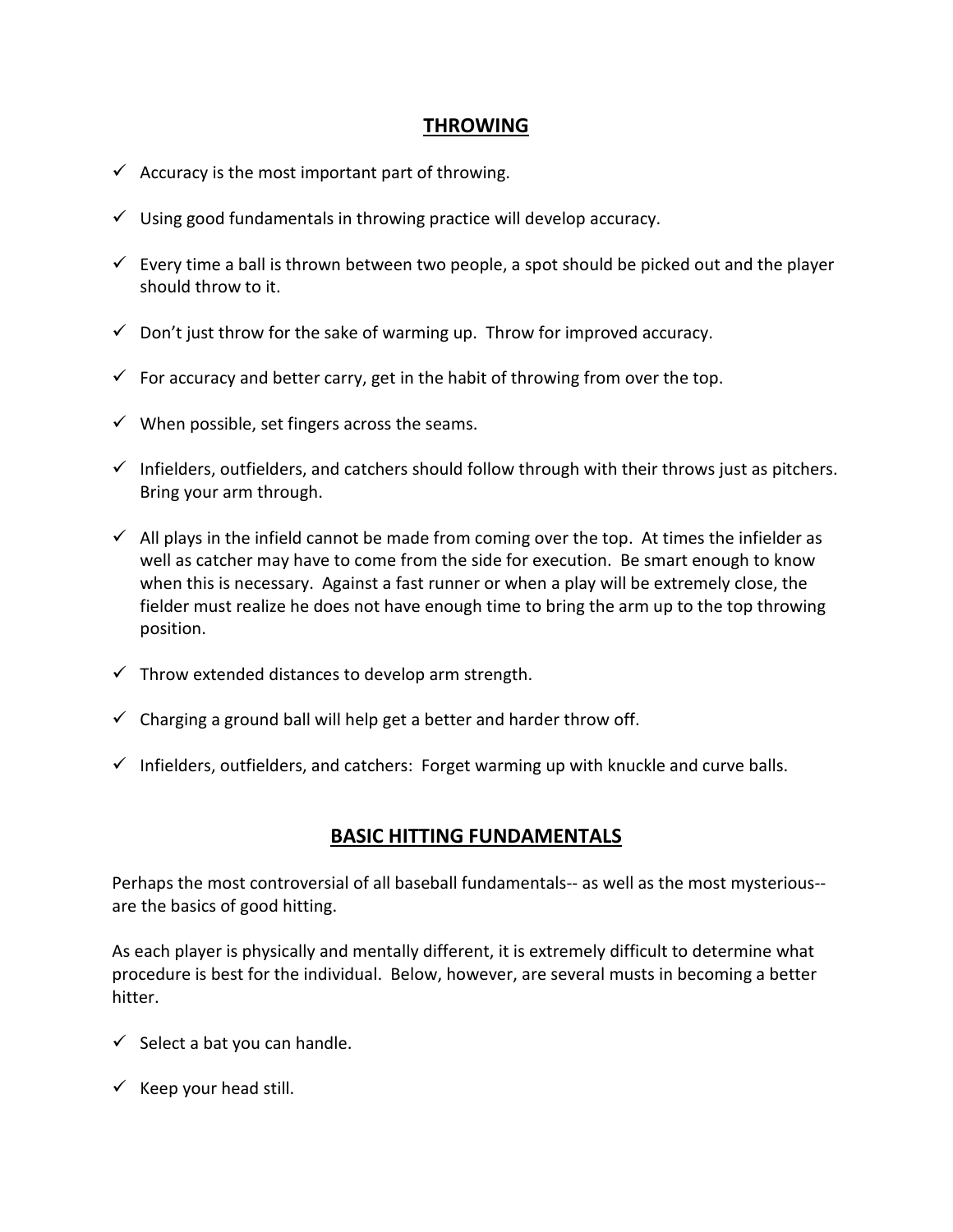## **THROWING**

- $\checkmark$  Accuracy is the most important part of throwing.
- $\checkmark$  Using good fundamentals in throwing practice will develop accuracy.
- $\checkmark$  Every time a ball is thrown between two people, a spot should be picked out and the player should throw to it.
- $\checkmark$  Don't just throw for the sake of warming up. Throw for improved accuracy.
- $\checkmark$  For accuracy and better carry, get in the habit of throwing from over the top.
- $\checkmark$  When possible, set fingers across the seams.
- $\checkmark$  Infielders, outfielders, and catchers should follow through with their throws just as pitchers. Bring your arm through.
- $\checkmark$  All plays in the infield cannot be made from coming over the top. At times the infielder as well as catcher may have to come from the side for execution. Be smart enough to know when this is necessary. Against a fast runner or when a play will be extremely close, the fielder must realize he does not have enough time to bring the arm up to the top throwing position.
- $\checkmark$  Throw extended distances to develop arm strength.
- $\checkmark$  Charging a ground ball will help get a better and harder throw off.
- $\checkmark$  Infielders, outfielders, and catchers: Forget warming up with knuckle and curve balls.

## **BASIC HITTING FUNDAMENTALS**

Perhaps the most controversial of all baseball fundamentals-- as well as the most mysterious- are the basics of good hitting.

As each player is physically and mentally different, it is extremely difficult to determine what procedure is best for the individual. Below, however, are several musts in becoming a better hitter.

- $\checkmark$  Select a bat you can handle.
- $\checkmark$  Keep your head still.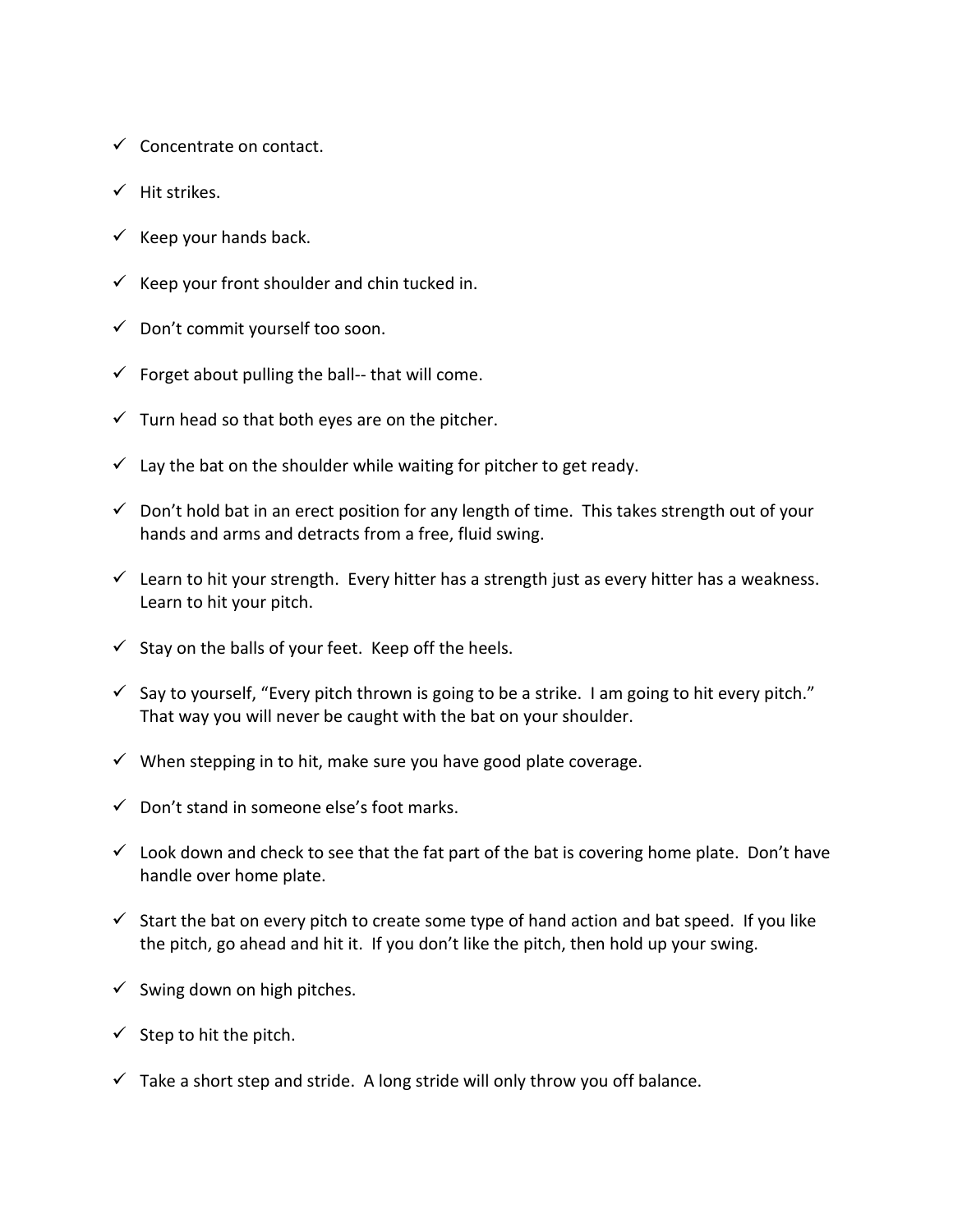- $\checkmark$  Concentrate on contact.
- $\checkmark$  Hit strikes.
- $\checkmark$  Keep your hands back.
- $\checkmark$  Keep your front shoulder and chin tucked in.
- $\checkmark$  Don't commit yourself too soon.
- $\checkmark$  Forget about pulling the ball-- that will come.
- $\checkmark$  Turn head so that both eyes are on the pitcher.
- $\checkmark$  Lay the bat on the shoulder while waiting for pitcher to get ready.
- $\checkmark$  Don't hold bat in an erect position for any length of time. This takes strength out of your hands and arms and detracts from a free, fluid swing.
- $\checkmark$  Learn to hit your strength. Every hitter has a strength just as every hitter has a weakness. Learn to hit your pitch.
- $\checkmark$  Stay on the balls of your feet. Keep off the heels.
- $\checkmark$  Say to yourself, "Every pitch thrown is going to be a strike. I am going to hit every pitch." That way you will never be caught with the bat on your shoulder.
- $\checkmark$  When stepping in to hit, make sure you have good plate coverage.
- $\checkmark$  Don't stand in someone else's foot marks.
- $\checkmark$  Look down and check to see that the fat part of the bat is covering home plate. Don't have handle over home plate.
- $\checkmark$  Start the bat on every pitch to create some type of hand action and bat speed. If you like the pitch, go ahead and hit it. If you don't like the pitch, then hold up your swing.
- $\checkmark$  Swing down on high pitches.
- $\checkmark$  Step to hit the pitch.
- $\checkmark$  Take a short step and stride. A long stride will only throw you off balance.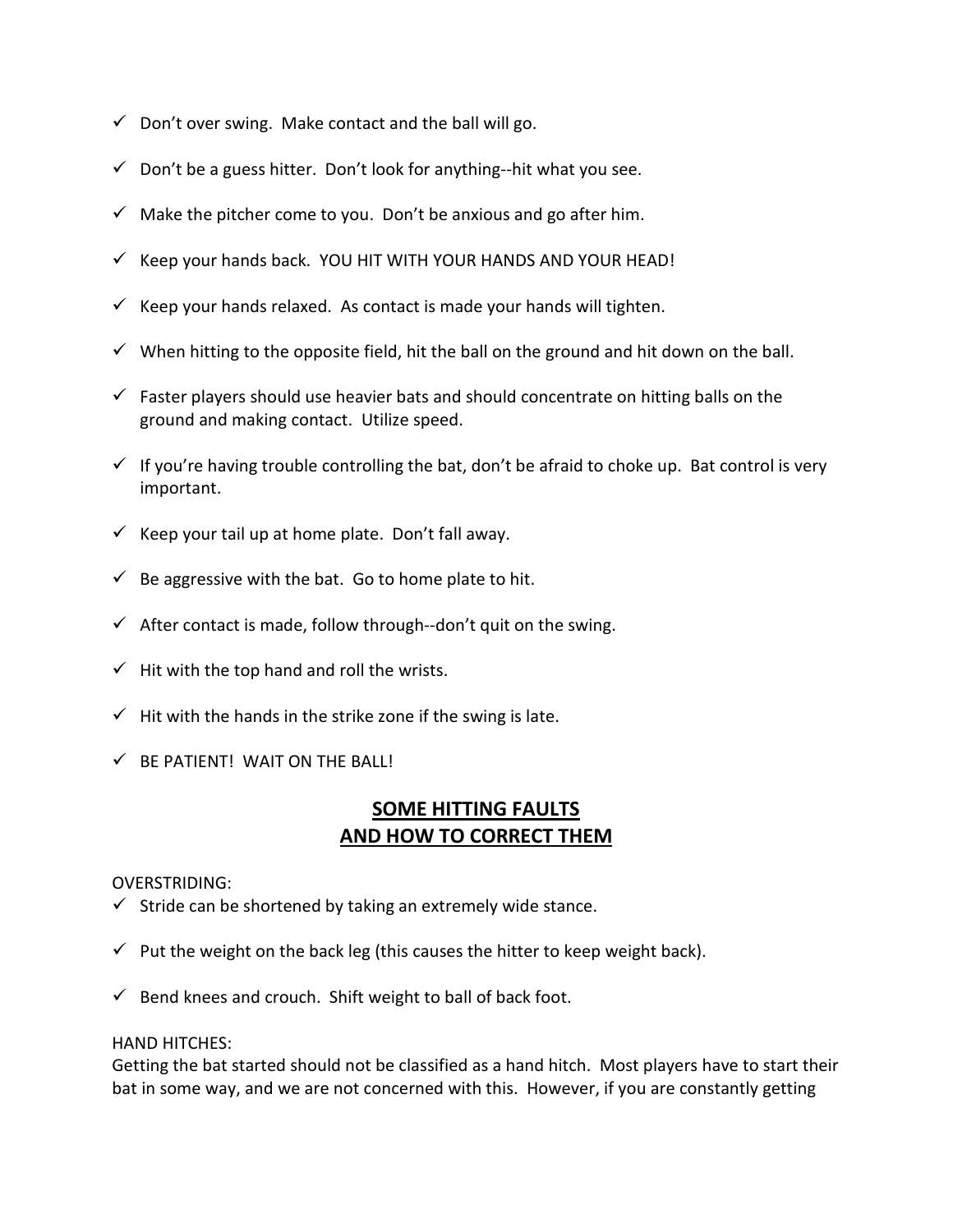- $\checkmark$  Don't over swing. Make contact and the ball will go.
- $\checkmark$  Don't be a guess hitter. Don't look for anything--hit what you see.
- $\checkmark$  Make the pitcher come to you. Don't be anxious and go after him.
- $\checkmark$  Keep your hands back. YOU HIT WITH YOUR HANDS AND YOUR HEAD!
- $\checkmark$  Keep your hands relaxed. As contact is made your hands will tighten.
- $\checkmark$  When hitting to the opposite field, hit the ball on the ground and hit down on the ball.
- $\checkmark$  Faster players should use heavier bats and should concentrate on hitting balls on the ground and making contact. Utilize speed.
- $\checkmark$  If you're having trouble controlling the bat, don't be afraid to choke up. Bat control is very important.
- $\checkmark$  Keep your tail up at home plate. Don't fall away.
- $\checkmark$  Be aggressive with the bat. Go to home plate to hit.
- $\checkmark$  After contact is made, follow through--don't quit on the swing.
- $\checkmark$  Hit with the top hand and roll the wrists.
- $\checkmark$  Hit with the hands in the strike zone if the swing is late.
- $\checkmark$  BE PATIENT! WAIT ON THE BALL!

## **SOME HITTING FAULTS AND HOW TO CORRECT THEM**

#### OVERSTRIDING:

- $\checkmark$  Stride can be shortened by taking an extremely wide stance.
- $\checkmark$  Put the weight on the back leg (this causes the hitter to keep weight back).
- $\checkmark$  Bend knees and crouch. Shift weight to ball of back foot.

#### HAND HITCHES:

Getting the bat started should not be classified as a hand hitch. Most players have to start their bat in some way, and we are not concerned with this. However, if you are constantly getting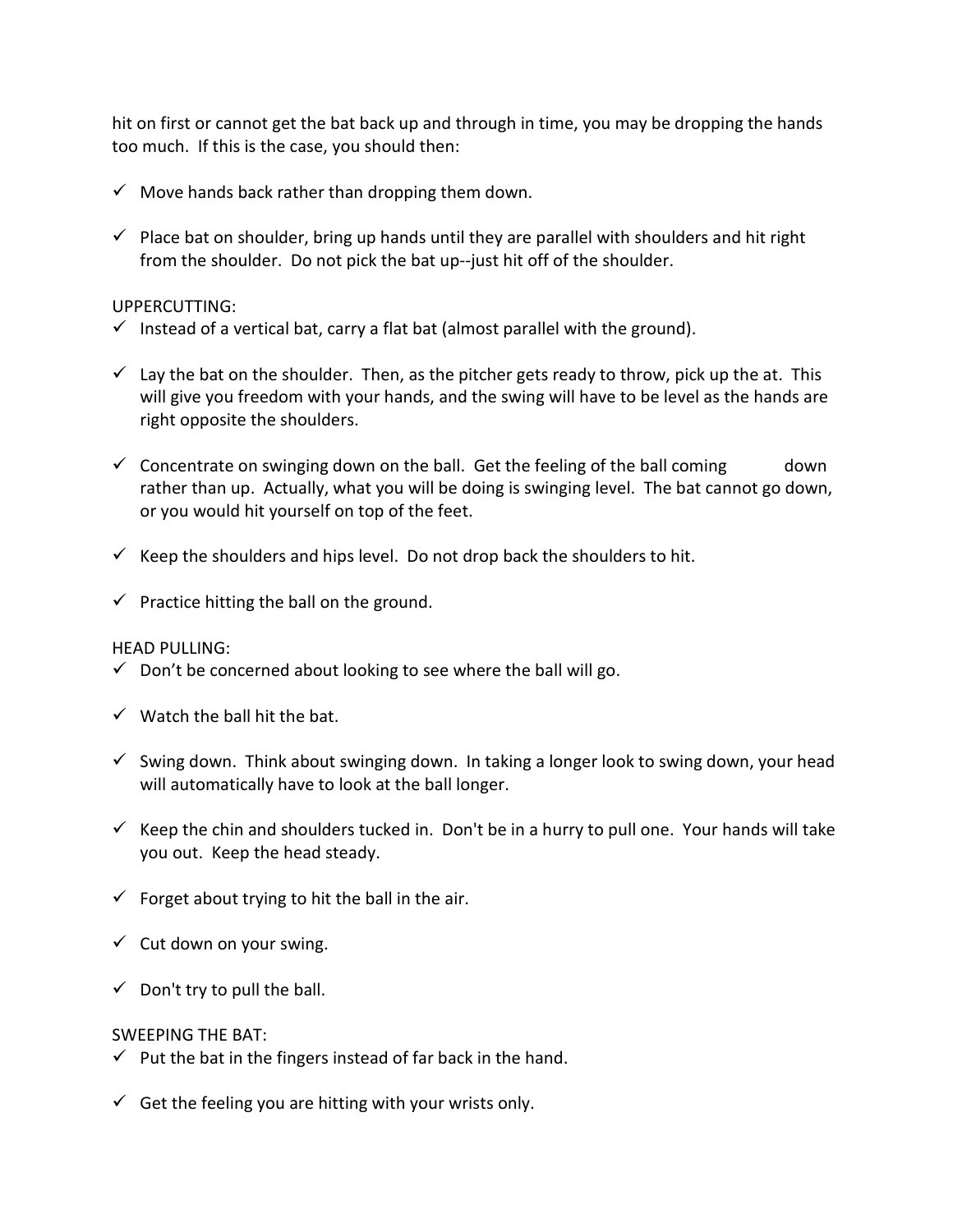hit on first or cannot get the bat back up and through in time, you may be dropping the hands too much. If this is the case, you should then:

- $\checkmark$  Move hands back rather than dropping them down.
- $\checkmark$  Place bat on shoulder, bring up hands until they are parallel with shoulders and hit right from the shoulder. Do not pick the bat up--just hit off of the shoulder.

## UPPERCUTTING:

- $\checkmark$  Instead of a vertical bat, carry a flat bat (almost parallel with the ground).
- $\checkmark$  Lay the bat on the shoulder. Then, as the pitcher gets ready to throw, pick up the at. This will give you freedom with your hands, and the swing will have to be level as the hands are right opposite the shoulders.
- $\checkmark$  Concentrate on swinging down on the ball. Get the feeling of the ball coming down rather than up. Actually, what you will be doing is swinging level. The bat cannot go down, or you would hit yourself on top of the feet.
- $\checkmark$  Keep the shoulders and hips level. Do not drop back the shoulders to hit.
- $\checkmark$  Practice hitting the ball on the ground.

## HEAD PULLING:

- $\checkmark$  Don't be concerned about looking to see where the ball will go.
- $\checkmark$  Watch the ball hit the bat.
- $\checkmark$  Swing down. Think about swinging down. In taking a longer look to swing down, your head will automatically have to look at the ball longer.
- $\checkmark$  Keep the chin and shoulders tucked in. Don't be in a hurry to pull one. Your hands will take you out. Keep the head steady.
- $\checkmark$  Forget about trying to hit the ball in the air.
- $\checkmark$  Cut down on your swing.
- $\checkmark$  Don't try to pull the ball.

## SWEEPING THE BAT:

- $\checkmark$  Put the bat in the fingers instead of far back in the hand.
- $\checkmark$  Get the feeling you are hitting with your wrists only.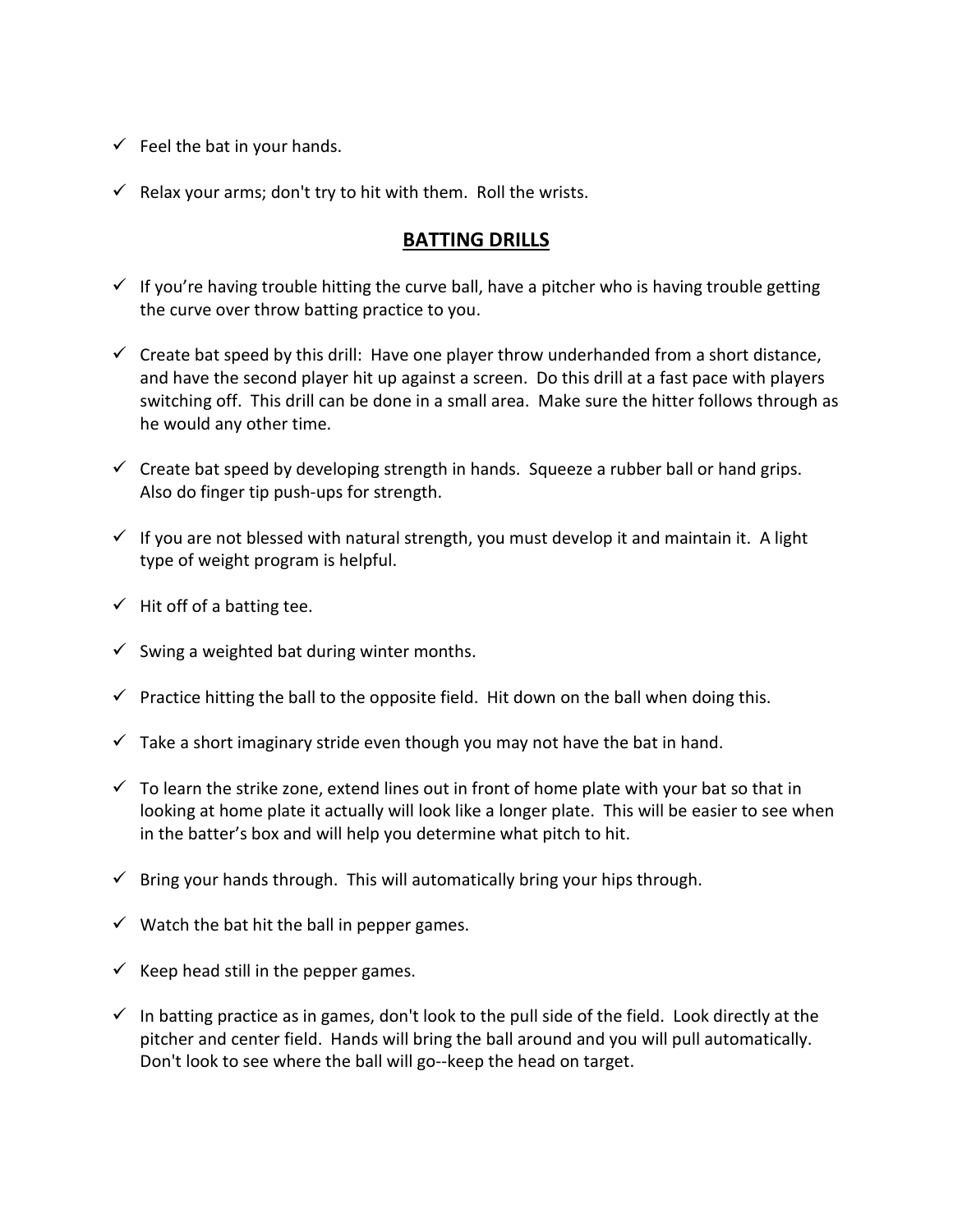- $\checkmark$  Feel the bat in your hands.
- $\checkmark$  Relax your arms; don't try to hit with them. Roll the wrists.

## **BATTING DRILLS**

- $\checkmark$  If you're having trouble hitting the curve ball, have a pitcher who is having trouble getting the curve over throw batting practice to you.
- $\checkmark$  Create bat speed by this drill: Have one player throw underhanded from a short distance, and have the second player hit up against a screen. Do this drill at a fast pace with players switching off. This drill can be done in a small area. Make sure the hitter follows through as he would any other time.
- $\checkmark$  Create bat speed by developing strength in hands. Squeeze a rubber ball or hand grips. Also do finger tip push-ups for strength.
- $\checkmark$  If you are not blessed with natural strength, you must develop it and maintain it. A light type of weight program is helpful.
- $\checkmark$  Hit off of a batting tee.
- $\checkmark$  Swing a weighted bat during winter months.
- $\checkmark$  Practice hitting the ball to the opposite field. Hit down on the ball when doing this.
- $\checkmark$  Take a short imaginary stride even though you may not have the bat in hand.
- $\checkmark$  To learn the strike zone, extend lines out in front of home plate with your bat so that in looking at home plate it actually will look like a longer plate. This will be easier to see when in the batter's box and will help you determine what pitch to hit.
- $\checkmark$  Bring your hands through. This will automatically bring your hips through.
- $\checkmark$  Watch the bat hit the ball in pepper games.
- $\checkmark$  Keep head still in the pepper games.
- $\checkmark$  In batting practice as in games, don't look to the pull side of the field. Look directly at the pitcher and center field. Hands will bring the ball around and you will pull automatically. Don't look to see where the ball will go--keep the head on target.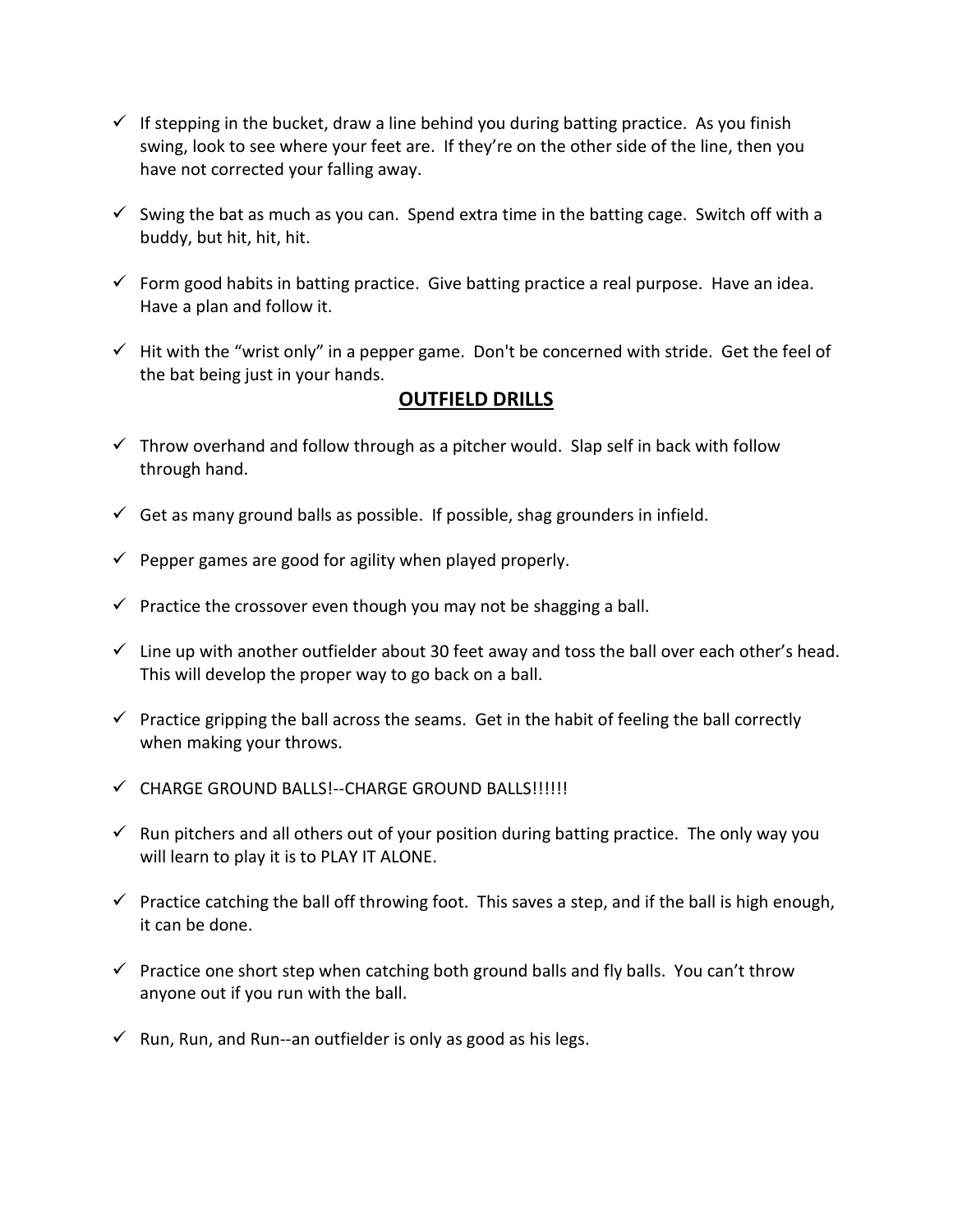- $\checkmark$  If stepping in the bucket, draw a line behind you during batting practice. As you finish swing, look to see where your feet are. If they're on the other side of the line, then you have not corrected your falling away.
- $\checkmark$  Swing the bat as much as you can. Spend extra time in the batting cage. Switch off with a buddy, but hit, hit, hit.
- $\checkmark$  Form good habits in batting practice. Give batting practice a real purpose. Have an idea. Have a plan and follow it.
- $\checkmark$  Hit with the "wrist only" in a pepper game. Don't be concerned with stride. Get the feel of the bat being just in your hands.

## **OUTFIELD DRILLS**

- $\checkmark$  Throw overhand and follow through as a pitcher would. Slap self in back with follow through hand.
- $\checkmark$  Get as many ground balls as possible. If possible, shag grounders in infield.
- $\checkmark$  Pepper games are good for agility when played properly.
- $\checkmark$  Practice the crossover even though you may not be shagging a ball.
- $\checkmark$  Line up with another outfielder about 30 feet away and toss the ball over each other's head. This will develop the proper way to go back on a ball.
- $\checkmark$  Practice gripping the ball across the seams. Get in the habit of feeling the ball correctly when making your throws.
- $\checkmark$  CHARGE GROUND BALLS!--CHARGE GROUND BALLS!!!!!!
- $\checkmark$  Run pitchers and all others out of your position during batting practice. The only way you will learn to play it is to PLAY IT ALONE.
- $\checkmark$  Practice catching the ball off throwing foot. This saves a step, and if the ball is high enough, it can be done.
- $\checkmark$  Practice one short step when catching both ground balls and fly balls. You can't throw anyone out if you run with the ball.
- $\checkmark$  Run, Run, and Run--an outfielder is only as good as his legs.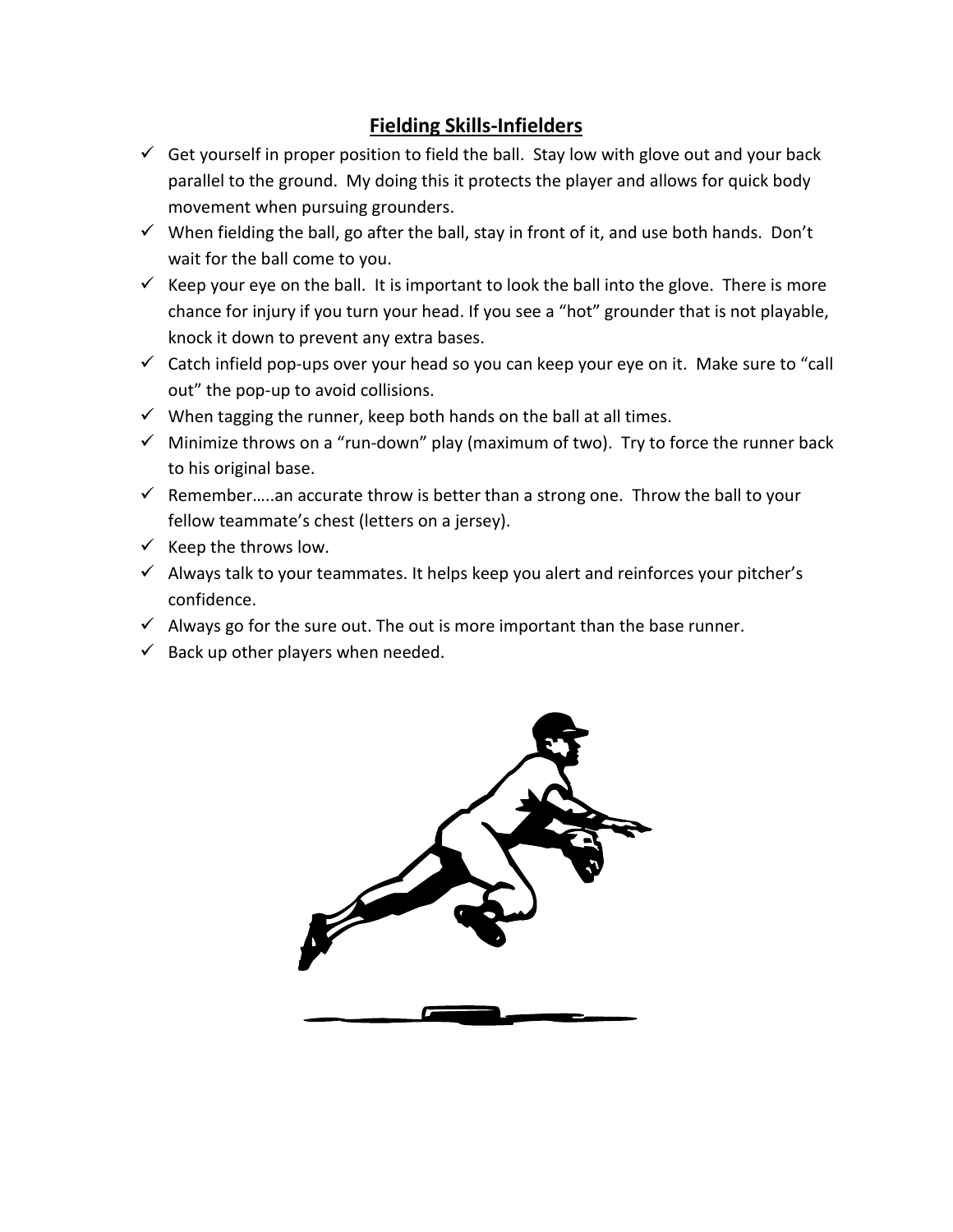# **Fielding Skills-Infielders**

- $\checkmark$  Get yourself in proper position to field the ball. Stay low with glove out and your back parallel to the ground. My doing this it protects the player and allows for quick body movement when pursuing grounders.
- $\checkmark$  When fielding the ball, go after the ball, stay in front of it, and use both hands. Don't wait for the ball come to you.
- Keep your eye on the ball. It is important to look the ball into the glove. There is more chance for injury if you turn your head. If you see a "hot" grounder that is not playable, knock it down to prevent any extra bases.
- $\checkmark$  Catch infield pop-ups over your head so you can keep your eye on it. Make sure to "call out" the pop-up to avoid collisions.
- $\checkmark$  When tagging the runner, keep both hands on the ball at all times.
- $\checkmark$  Minimize throws on a "run-down" play (maximum of two). Try to force the runner back to his original base.
- $\checkmark$  Remember.....an accurate throw is better than a strong one. Throw the ball to your fellow teammate's chest (letters on a jersey).
- $\checkmark$  Keep the throws low.
- $\checkmark$  Always talk to your teammates. It helps keep you alert and reinforces your pitcher's confidence.
- $\checkmark$  Always go for the sure out. The out is more important than the base runner.
- $\checkmark$  Back up other players when needed.

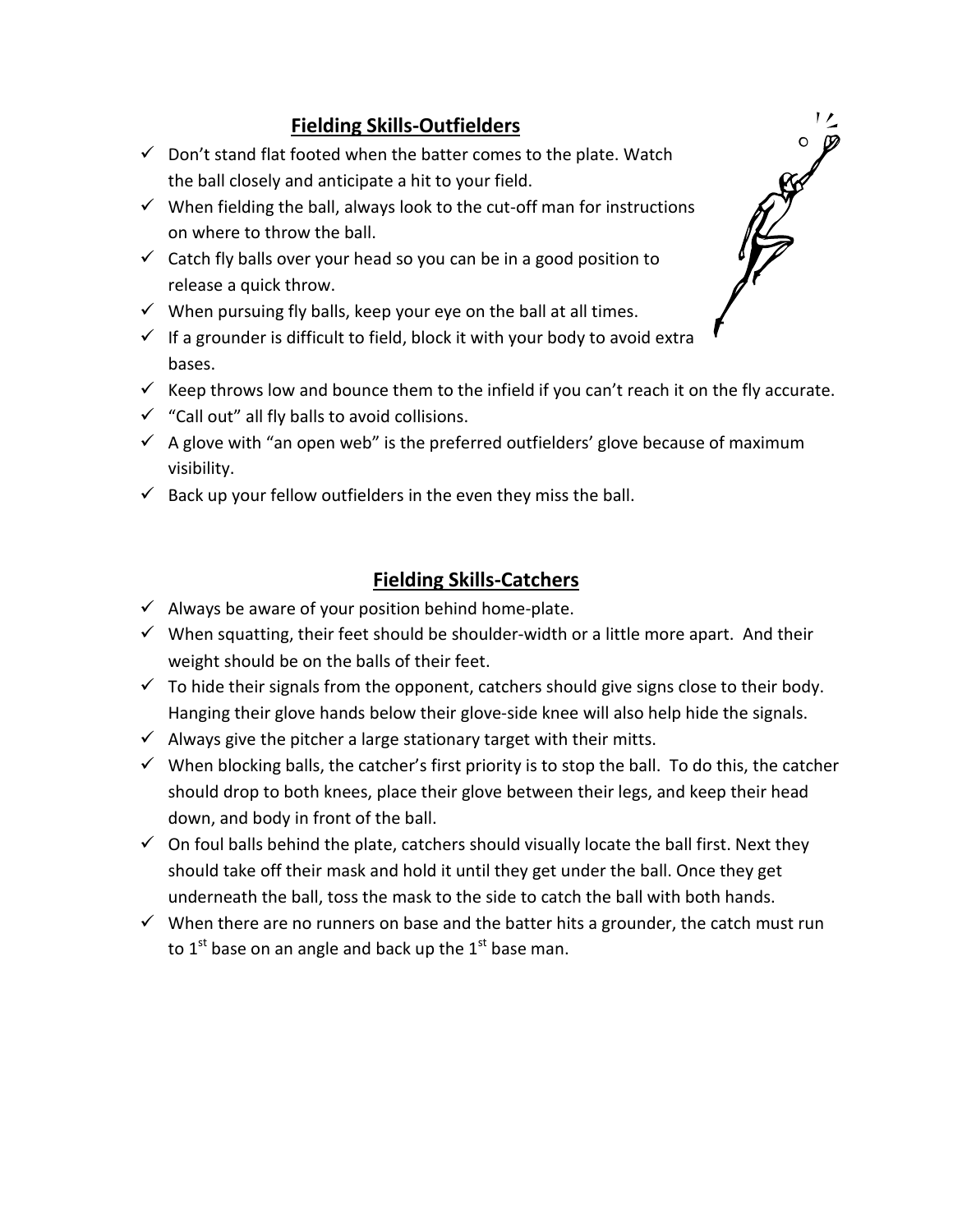# **Fielding Skills-Outfielders**

- $\checkmark$  Don't stand flat footed when the batter comes to the plate. Watch the ball closely and anticipate a hit to your field.
- $\checkmark$  When fielding the ball, always look to the cut-off man for instructions on where to throw the ball.
- $\checkmark$  Catch fly balls over your head so you can be in a good position to release a quick throw.
- $\checkmark$  When pursuing fly balls, keep your eye on the ball at all times.
- $\checkmark$  If a grounder is difficult to field, block it with your body to avoid extra bases.
- $\checkmark$  Keep throws low and bounce them to the infield if you can't reach it on the fly accurate.
- $\checkmark$  "Call out" all fly balls to avoid collisions.
- $\checkmark$  A glove with "an open web" is the preferred outfielders' glove because of maximum visibility.
- $\checkmark$  Back up your fellow outfielders in the even they miss the ball.

# **Fielding Skills-Catchers**

- $\checkmark$  Always be aware of your position behind home-plate.
- $\checkmark$  When squatting, their feet should be shoulder-width or a little more apart. And their weight should be on the balls of their feet.
- $\checkmark$  To hide their signals from the opponent, catchers should give signs close to their body. Hanging their glove hands below their glove-side knee will also help hide the signals.
- $\checkmark$  Always give the pitcher a large stationary target with their mitts.
- $\checkmark$  When blocking balls, the catcher's first priority is to stop the ball. To do this, the catcher should drop to both knees, place their glove between their legs, and keep their head down, and body in front of the ball.
- $\checkmark$  On foul balls behind the plate, catchers should visually locate the ball first. Next they should take off their mask and hold it until they get under the ball. Once they get underneath the ball, toss the mask to the side to catch the ball with both hands.
- $\checkmark$  When there are no runners on base and the batter hits a grounder, the catch must run to  $1<sup>st</sup>$  base on an angle and back up the  $1<sup>st</sup>$  base man.

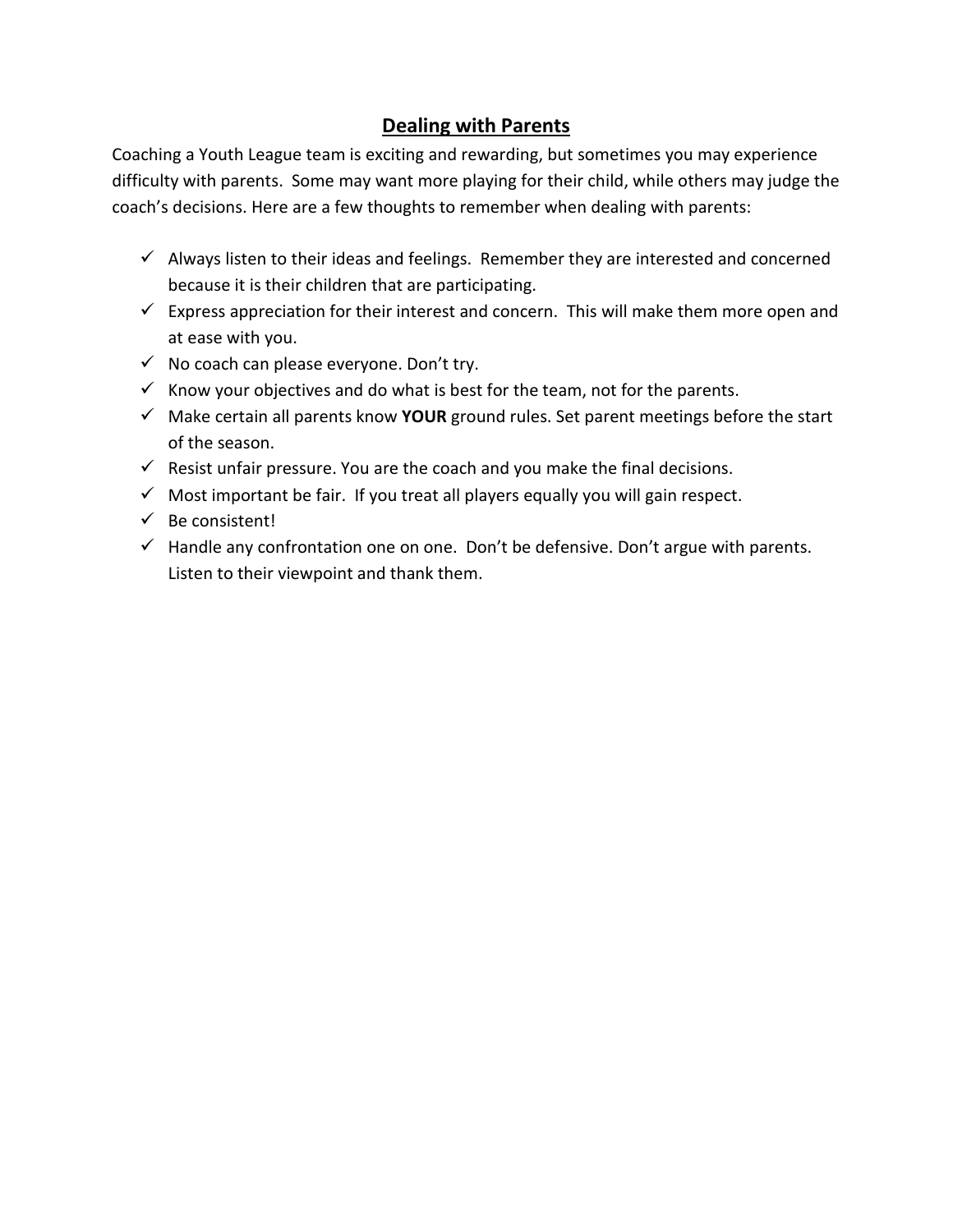# **Dealing with Parents**

Coaching a Youth League team is exciting and rewarding, but sometimes you may experience difficulty with parents. Some may want more playing for their child, while others may judge the coach's decisions. Here are a few thoughts to remember when dealing with parents:

- $\checkmark$  Always listen to their ideas and feelings. Remember they are interested and concerned because it is their children that are participating.
- $\checkmark$  Express appreciation for their interest and concern. This will make them more open and at ease with you.
- $\checkmark$  No coach can please everyone. Don't try.
- $\checkmark$  Know your objectives and do what is best for the team, not for the parents.
- Make certain all parents know **YOUR** ground rules. Set parent meetings before the start of the season.
- $\checkmark$  Resist unfair pressure. You are the coach and you make the final decisions.
- $\checkmark$  Most important be fair. If you treat all players equally you will gain respect.
- $\checkmark$  Be consistent!
- $\checkmark$  Handle any confrontation one on one. Don't be defensive. Don't argue with parents. Listen to their viewpoint and thank them.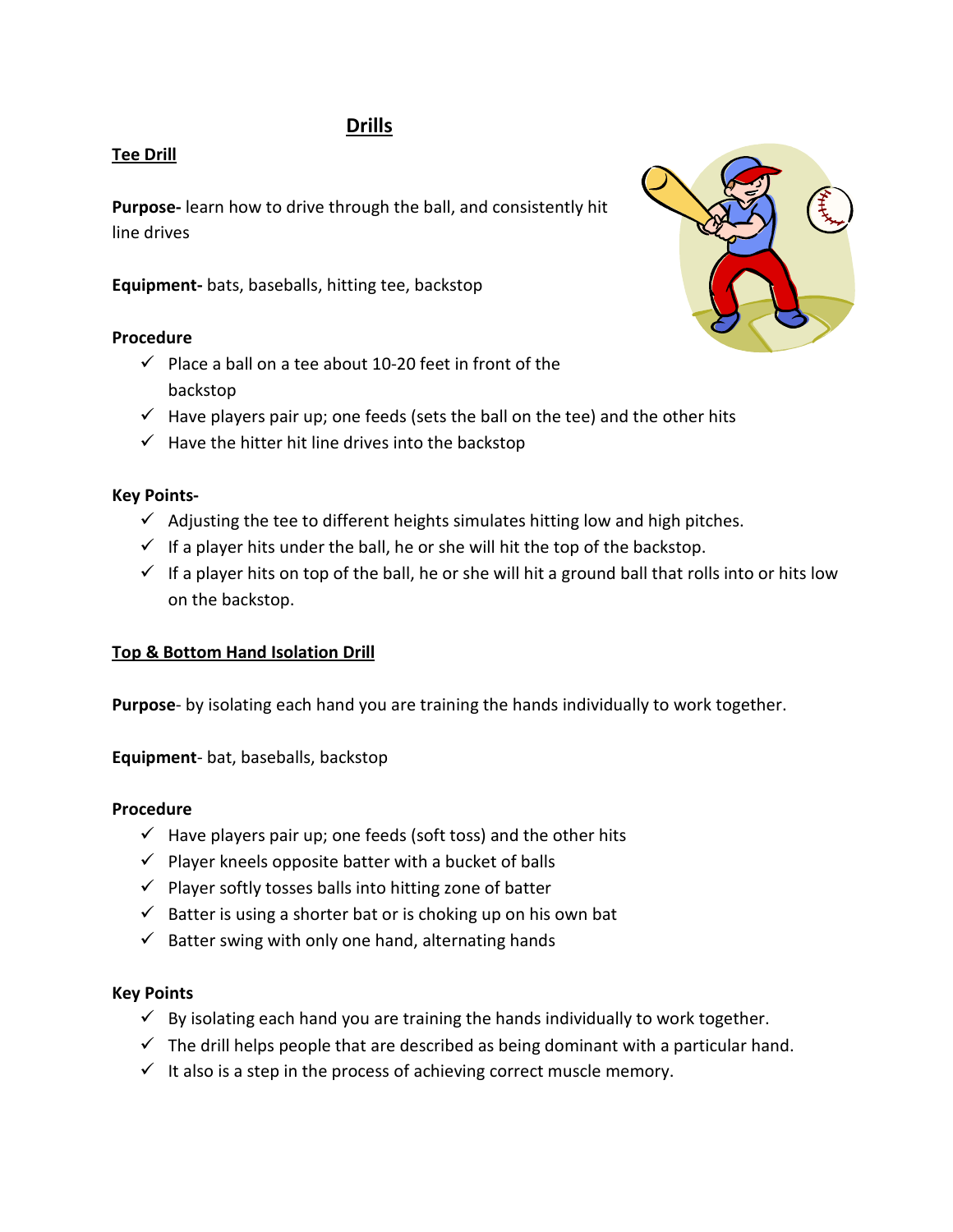## **Drills**

## **Tee Drill**

**Purpose-** learn how to drive through the ball, and consistently hit line drives

**Equipment-** bats, baseballs, hitting tee, backstop

## **Procedure**

- $\checkmark$  Place a ball on a tee about 10-20 feet in front of the backstop
- $\checkmark$  Have players pair up; one feeds (sets the ball on the tee) and the other hits
- $\checkmark$  Have the hitter hit line drives into the backstop

## **Key Points-**

- $\checkmark$  Adjusting the tee to different heights simulates hitting low and high pitches.
- $\checkmark$  If a player hits under the ball, he or she will hit the top of the backstop.
- $\checkmark$  If a player hits on top of the ball, he or she will hit a ground ball that rolls into or hits low on the backstop.

## **Top & Bottom Hand Isolation Drill**

**Purpose**- by isolating each hand you are training the hands individually to work together.

**Equipment**- bat, baseballs, backstop

## **Procedure**

- $\checkmark$  Have players pair up; one feeds (soft toss) and the other hits
- $\checkmark$  Player kneels opposite batter with a bucket of balls
- $\checkmark$  Player softly tosses balls into hitting zone of batter
- $\checkmark$  Batter is using a shorter bat or is choking up on his own bat
- $\checkmark$  Batter swing with only one hand, alternating hands

## **Key Points**

- $\checkmark$  By isolating each hand you are training the hands individually to work together.
- $\checkmark$  The drill helps people that are described as being dominant with a particular hand.
- $\checkmark$  It also is a step in the process of achieving correct muscle memory.

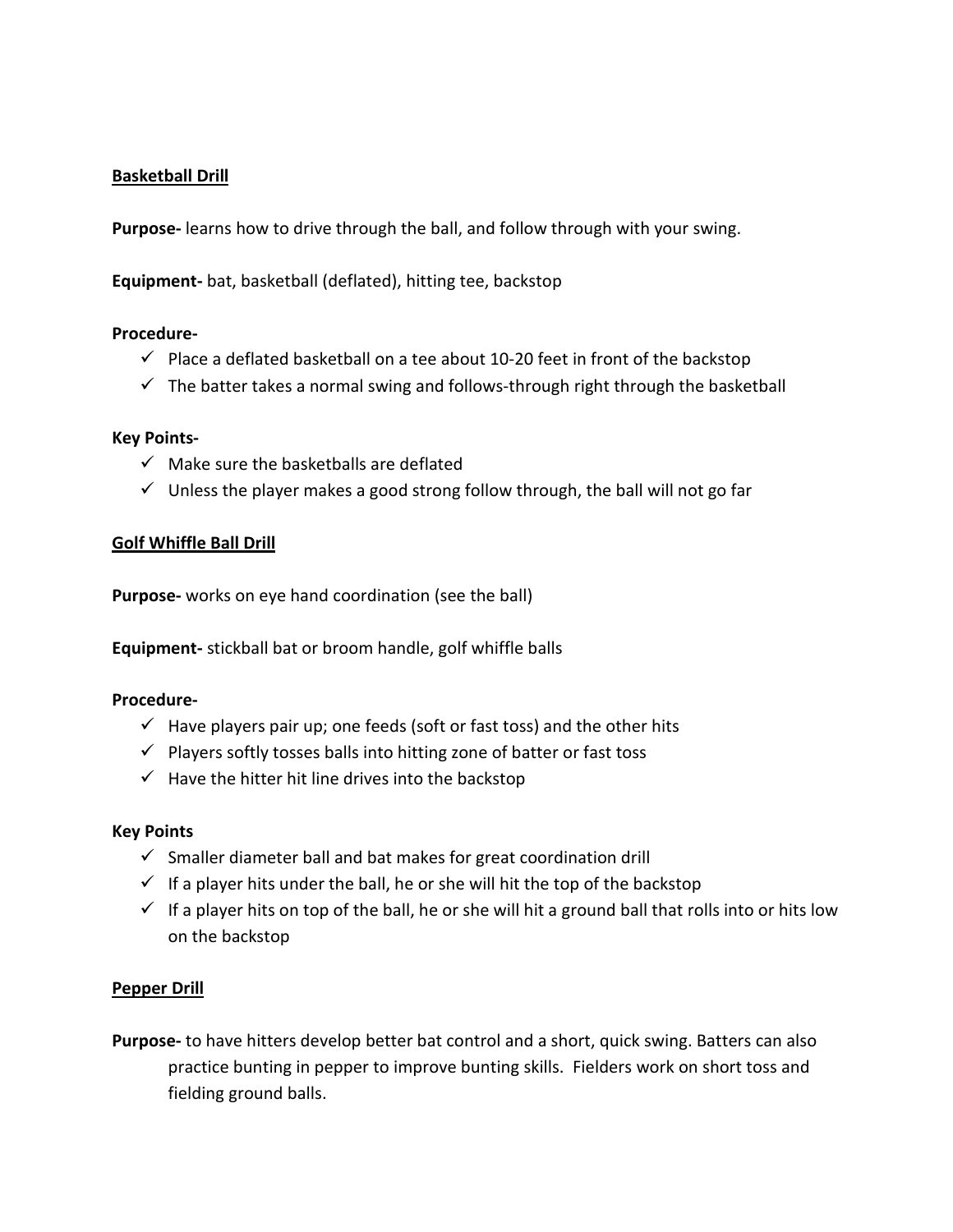## **Basketball Drill**

**Purpose-** learns how to drive through the ball, and follow through with your swing.

**Equipment-** bat, basketball (deflated), hitting tee, backstop

#### **Procedure-**

- $\checkmark$  Place a deflated basketball on a tee about 10-20 feet in front of the backstop
- $\checkmark$  The batter takes a normal swing and follows-through right through the basketball

#### **Key Points-**

- $\checkmark$  Make sure the basketballs are deflated
- $\checkmark$  Unless the player makes a good strong follow through, the ball will not go far

#### **Golf Whiffle Ball Drill**

**Purpose-** works on eye hand coordination (see the ball)

**Equipment-** stickball bat or broom handle, golf whiffle balls

#### **Procedure-**

- $\checkmark$  Have players pair up; one feeds (soft or fast toss) and the other hits
- $\checkmark$  Players softly tosses balls into hitting zone of batter or fast toss
- $\checkmark$  Have the hitter hit line drives into the backstop

#### **Key Points**

- $\checkmark$  Smaller diameter ball and bat makes for great coordination drill
- $\checkmark$  If a player hits under the ball, he or she will hit the top of the backstop
- $\checkmark$  If a player hits on top of the ball, he or she will hit a ground ball that rolls into or hits low on the backstop

#### **Pepper Drill**

**Purpose-** to have hitters develop better bat control and a short, quick swing. Batters can also practice bunting in pepper to improve bunting skills. Fielders work on short toss and fielding ground balls.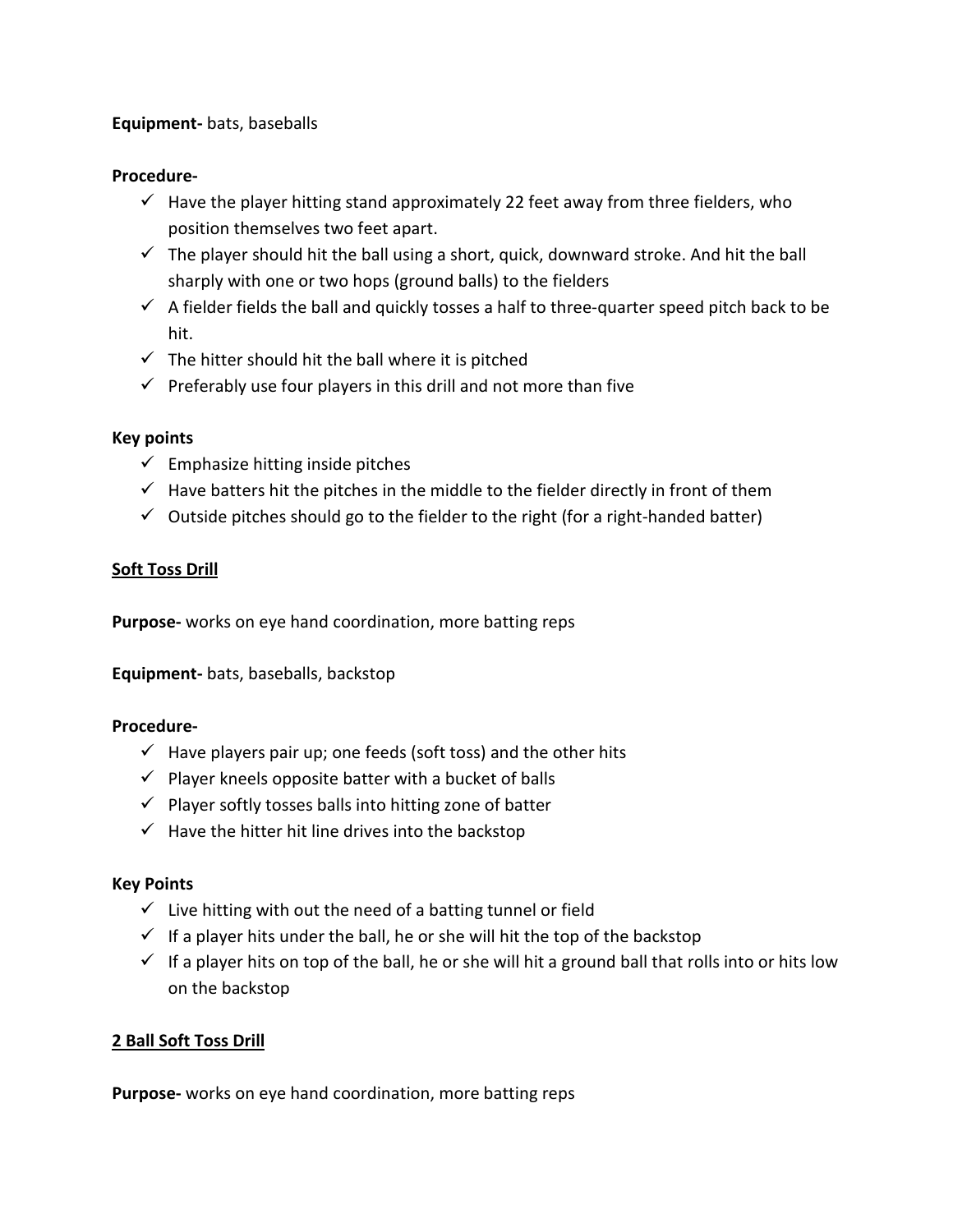## **Equipment-** bats, baseballs

#### **Procedure-**

- $\checkmark$  Have the player hitting stand approximately 22 feet away from three fielders, who position themselves two feet apart.
- $\checkmark$  The player should hit the ball using a short, quick, downward stroke. And hit the ball sharply with one or two hops (ground balls) to the fielders
- $\checkmark$  A fielder fields the ball and quickly tosses a half to three-quarter speed pitch back to be hit.
- $\checkmark$  The hitter should hit the ball where it is pitched
- $\checkmark$  Preferably use four players in this drill and not more than five

#### **Key points**

- $\checkmark$  Emphasize hitting inside pitches
- $\checkmark$  Have batters hit the pitches in the middle to the fielder directly in front of them
- $\checkmark$  Outside pitches should go to the fielder to the right (for a right-handed batter)

## **Soft Toss Drill**

**Purpose-** works on eye hand coordination, more batting reps

**Equipment-** bats, baseballs, backstop

#### **Procedure-**

- $\checkmark$  Have players pair up; one feeds (soft toss) and the other hits
- $\checkmark$  Player kneels opposite batter with a bucket of balls
- $\checkmark$  Player softly tosses balls into hitting zone of batter
- $\checkmark$  Have the hitter hit line drives into the backstop

## **Key Points**

- $\checkmark$  Live hitting with out the need of a batting tunnel or field
- $\checkmark$  If a player hits under the ball, he or she will hit the top of the backstop
- $\checkmark$  If a player hits on top of the ball, he or she will hit a ground ball that rolls into or hits low on the backstop

## **2 Ball Soft Toss Drill**

**Purpose-** works on eye hand coordination, more batting reps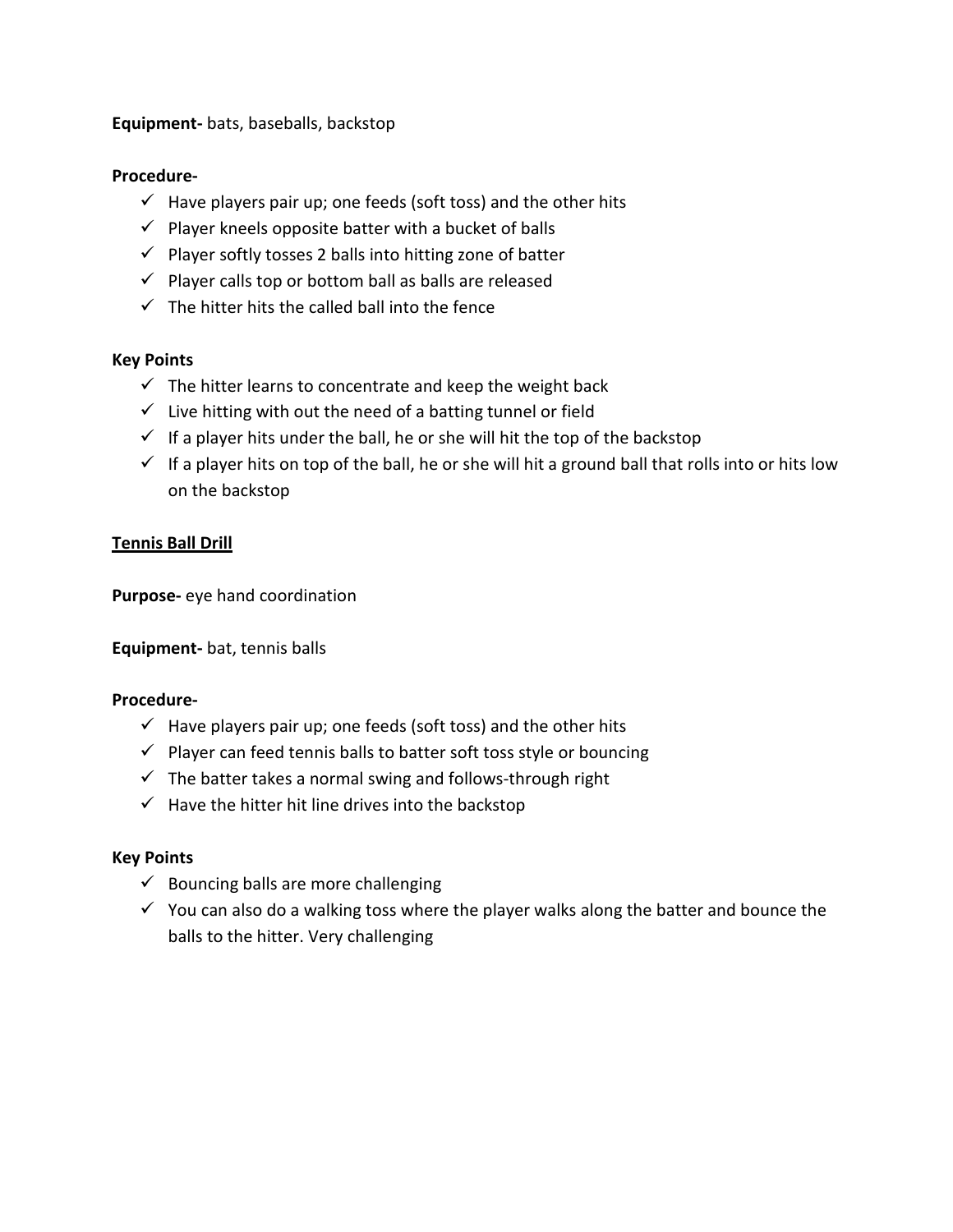**Equipment-** bats, baseballs, backstop

## **Procedure-**

- $\checkmark$  Have players pair up; one feeds (soft toss) and the other hits
- $\checkmark$  Player kneels opposite batter with a bucket of balls
- $\checkmark$  Player softly tosses 2 balls into hitting zone of batter
- $\checkmark$  Player calls top or bottom ball as balls are released
- $\checkmark$  The hitter hits the called ball into the fence

#### **Key Points**

- $\checkmark$  The hitter learns to concentrate and keep the weight back
- $\checkmark$  Live hitting with out the need of a batting tunnel or field
- $\checkmark$  If a player hits under the ball, he or she will hit the top of the backstop
- $\checkmark$  If a player hits on top of the ball, he or she will hit a ground ball that rolls into or hits low on the backstop

#### **Tennis Ball Drill**

**Purpose-** eye hand coordination

**Equipment-** bat, tennis balls

#### **Procedure-**

- $\checkmark$  Have players pair up; one feeds (soft toss) and the other hits
- $\checkmark$  Player can feed tennis balls to batter soft toss style or bouncing
- $\checkmark$  The batter takes a normal swing and follows-through right
- $\checkmark$  Have the hitter hit line drives into the backstop

#### **Key Points**

- $\checkmark$  Bouncing balls are more challenging
- $\checkmark$  You can also do a walking toss where the player walks along the batter and bounce the balls to the hitter. Very challenging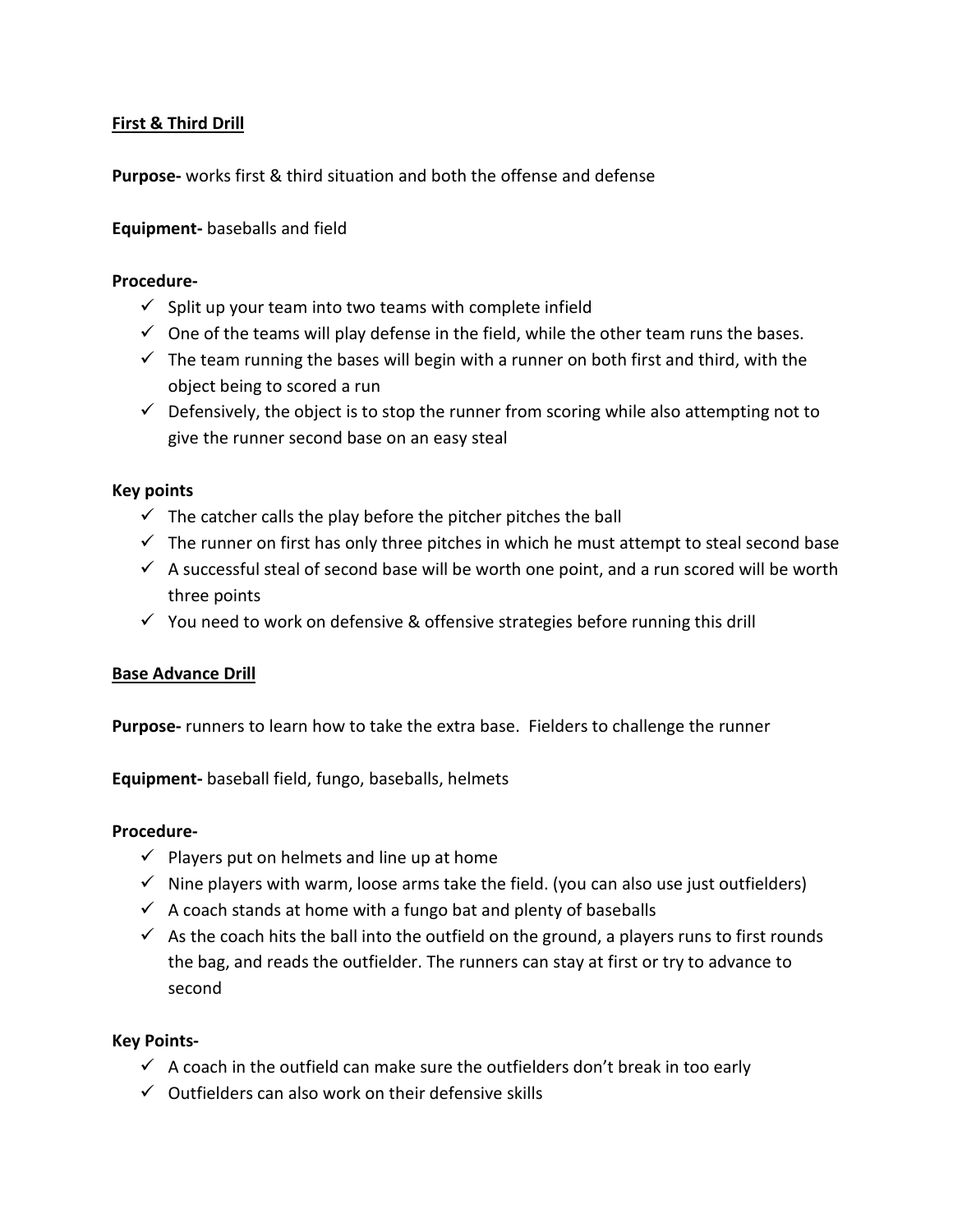## **First & Third Drill**

**Purpose-** works first & third situation and both the offense and defense

## **Equipment-** baseballs and field

#### **Procedure-**

- $\checkmark$  Split up your team into two teams with complete infield
- $\checkmark$  One of the teams will play defense in the field, while the other team runs the bases.
- $\checkmark$  The team running the bases will begin with a runner on both first and third, with the object being to scored a run
- $\checkmark$  Defensively, the object is to stop the runner from scoring while also attempting not to give the runner second base on an easy steal

#### **Key points**

- $\checkmark$  The catcher calls the play before the pitcher pitches the ball
- $\checkmark$  The runner on first has only three pitches in which he must attempt to steal second base
- $\checkmark$  A successful steal of second base will be worth one point, and a run scored will be worth three points
- $\checkmark$  You need to work on defensive & offensive strategies before running this drill

#### **Base Advance Drill**

**Purpose-** runners to learn how to take the extra base. Fielders to challenge the runner

**Equipment-** baseball field, fungo, baseballs, helmets

#### **Procedure-**

- $\checkmark$  Players put on helmets and line up at home
- $\checkmark$  Nine players with warm, loose arms take the field. (you can also use just outfielders)
- $\checkmark$  A coach stands at home with a fungo bat and plenty of baseballs
- $\checkmark$  As the coach hits the ball into the outfield on the ground, a players runs to first rounds the bag, and reads the outfielder. The runners can stay at first or try to advance to second

#### **Key Points-**

- $\checkmark$  A coach in the outfield can make sure the outfielders don't break in too early
- $\checkmark$  Outfielders can also work on their defensive skills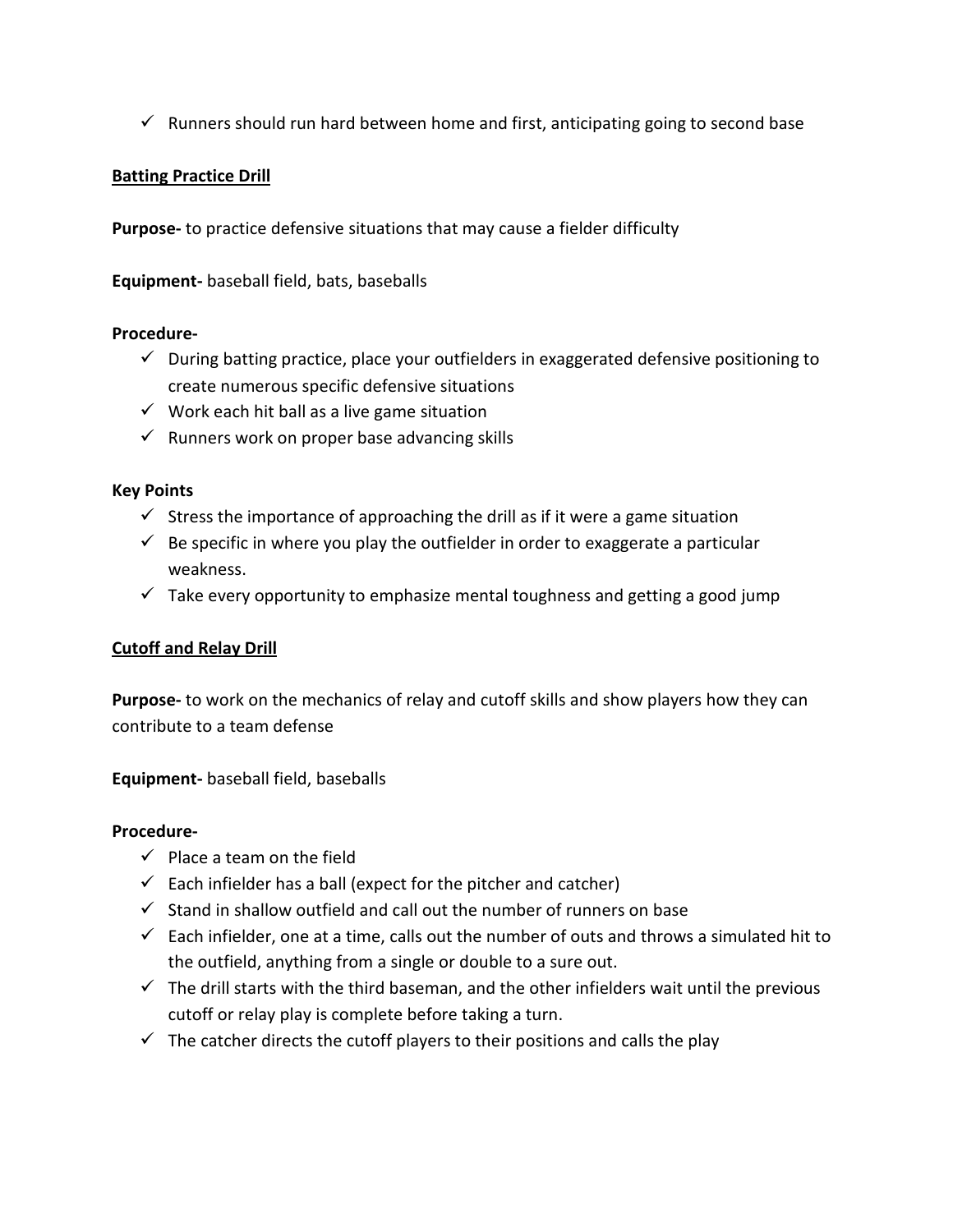$\checkmark$  Runners should run hard between home and first, anticipating going to second base

## **Batting Practice Drill**

**Purpose-** to practice defensive situations that may cause a fielder difficulty

**Equipment-** baseball field, bats, baseballs

## **Procedure-**

- $\checkmark$  During batting practice, place your outfielders in exaggerated defensive positioning to create numerous specific defensive situations
- $\checkmark$  Work each hit ball as a live game situation
- $\checkmark$  Runners work on proper base advancing skills

## **Key Points**

- $\checkmark$  Stress the importance of approaching the drill as if it were a game situation
- $\checkmark$  Be specific in where you play the outfielder in order to exaggerate a particular weakness.
- $\checkmark$  Take every opportunity to emphasize mental toughness and getting a good jump

## **Cutoff and Relay Drill**

**Purpose-** to work on the mechanics of relay and cutoff skills and show players how they can contribute to a team defense

**Equipment-** baseball field, baseballs

- $\checkmark$  Place a team on the field
- $\checkmark$  Each infielder has a ball (expect for the pitcher and catcher)
- $\checkmark$  Stand in shallow outfield and call out the number of runners on base
- $\checkmark$  Each infielder, one at a time, calls out the number of outs and throws a simulated hit to the outfield, anything from a single or double to a sure out.
- $\checkmark$  The drill starts with the third baseman, and the other infielders wait until the previous cutoff or relay play is complete before taking a turn.
- $\checkmark$  The catcher directs the cutoff players to their positions and calls the play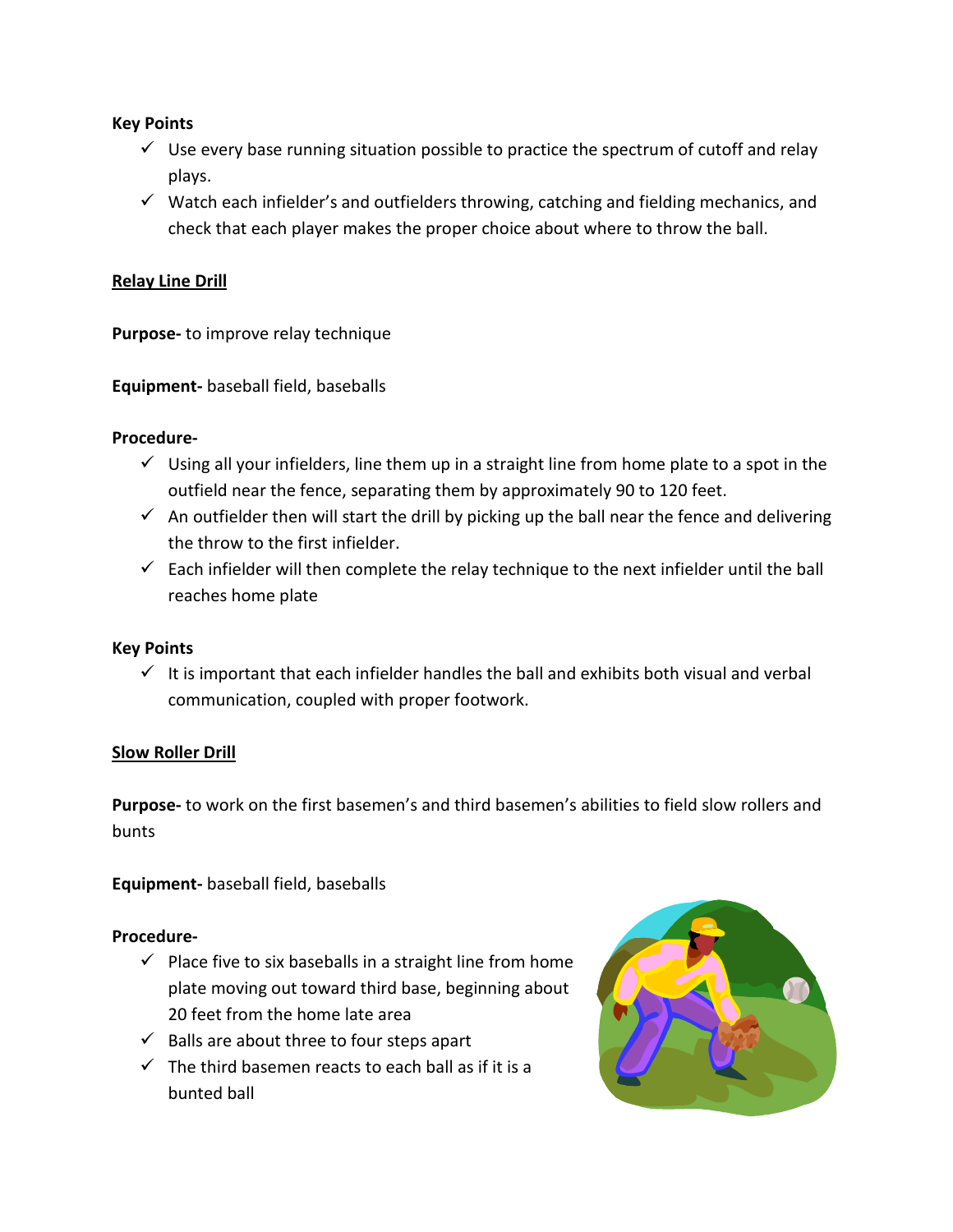## **Key Points**

- $\checkmark$  Use every base running situation possible to practice the spectrum of cutoff and relay plays.
- $\checkmark$  Watch each infielder's and outfielders throwing, catching and fielding mechanics, and check that each player makes the proper choice about where to throw the ball.

## **Relay Line Drill**

**Purpose-** to improve relay technique

**Equipment-** baseball field, baseballs

#### **Procedure-**

- $\checkmark$  Using all your infielders, line them up in a straight line from home plate to a spot in the outfield near the fence, separating them by approximately 90 to 120 feet.
- $\checkmark$  An outfielder then will start the drill by picking up the ball near the fence and delivering the throw to the first infielder.
- $\checkmark$  Each infielder will then complete the relay technique to the next infielder until the ball reaches home plate

#### **Key Points**

 $\checkmark$  It is important that each infielder handles the ball and exhibits both visual and verbal communication, coupled with proper footwork.

#### **Slow Roller Drill**

**Purpose-** to work on the first basemen's and third basemen's abilities to field slow rollers and bunts

**Equipment-** baseball field, baseballs

- $\checkmark$  Place five to six baseballs in a straight line from home plate moving out toward third base, beginning about 20 feet from the home late area
- $\checkmark$  Balls are about three to four steps apart
- $\checkmark$  The third basemen reacts to each ball as if it is a bunted ball

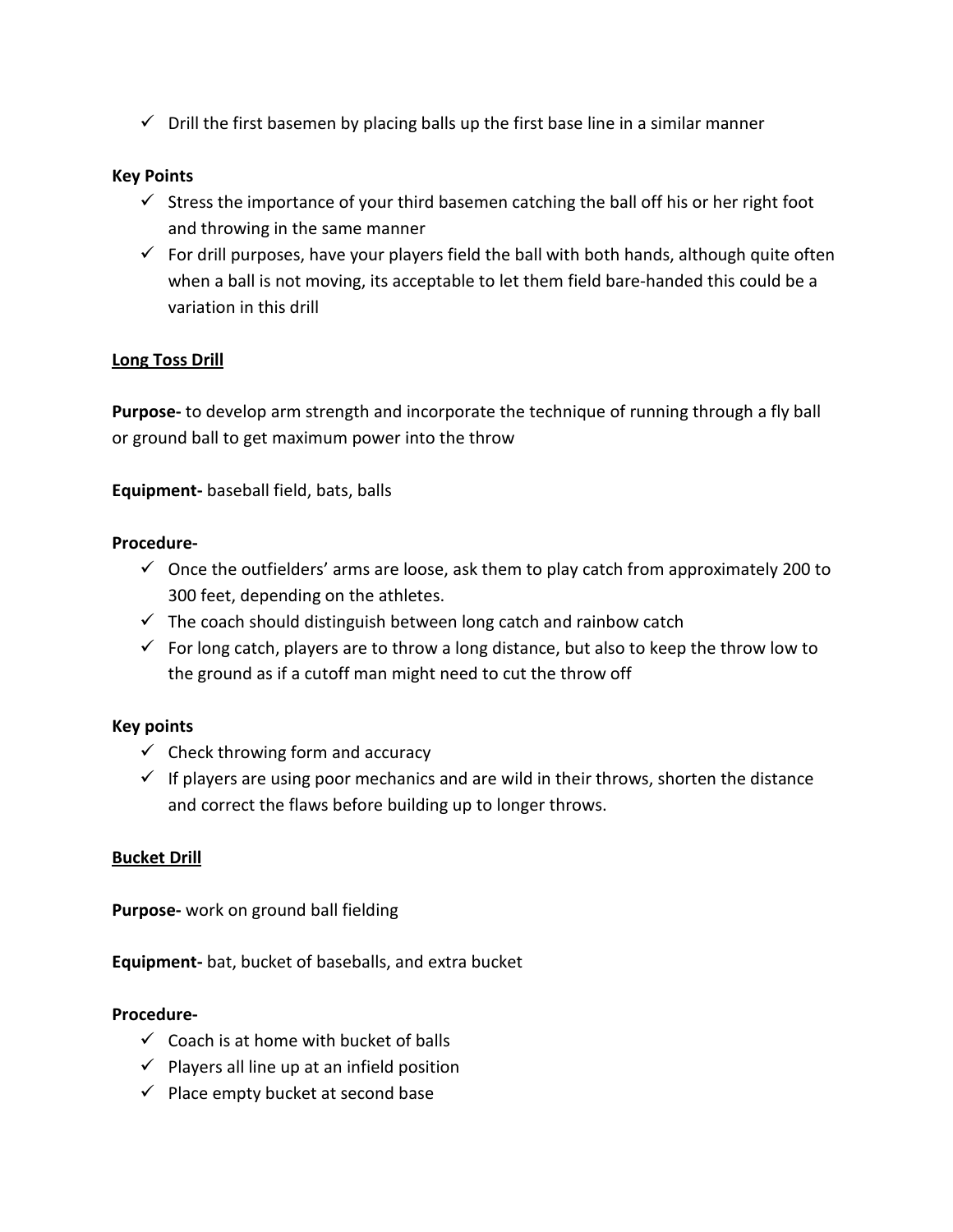$\checkmark$  Drill the first basemen by placing balls up the first base line in a similar manner

## **Key Points**

- $\checkmark$  Stress the importance of your third basemen catching the ball off his or her right foot and throwing in the same manner
- $\checkmark$  For drill purposes, have your players field the ball with both hands, although quite often when a ball is not moving, its acceptable to let them field bare-handed this could be a variation in this drill

## **Long Toss Drill**

**Purpose-** to develop arm strength and incorporate the technique of running through a fly ball or ground ball to get maximum power into the throw

**Equipment-** baseball field, bats, balls

#### **Procedure-**

- $\checkmark$  Once the outfielders' arms are loose, ask them to play catch from approximately 200 to 300 feet, depending on the athletes.
- $\checkmark$  The coach should distinguish between long catch and rainbow catch
- $\checkmark$  For long catch, players are to throw a long distance, but also to keep the throw low to the ground as if a cutoff man might need to cut the throw off

#### **Key points**

- $\checkmark$  Check throwing form and accuracy
- $\checkmark$  If players are using poor mechanics and are wild in their throws, shorten the distance and correct the flaws before building up to longer throws.

## **Bucket Drill**

**Purpose-** work on ground ball fielding

**Equipment-** bat, bucket of baseballs, and extra bucket

- $\checkmark$  Coach is at home with bucket of balls
- $\checkmark$  Players all line up at an infield position
- $\checkmark$  Place empty bucket at second base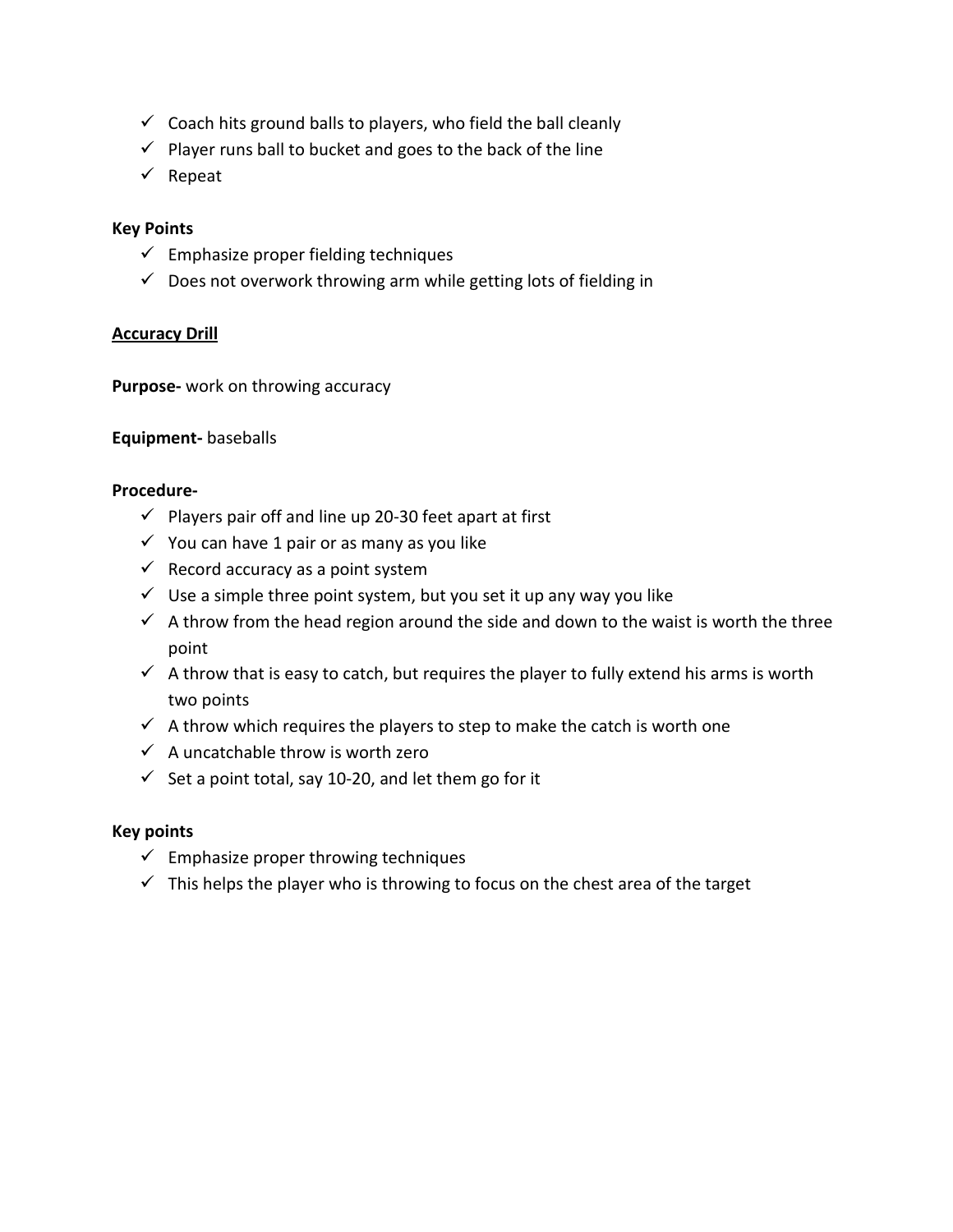- $\checkmark$  Coach hits ground balls to players, who field the ball cleanly
- $\checkmark$  Player runs ball to bucket and goes to the back of the line
- $\checkmark$  Repeat

## **Key Points**

- $\checkmark$  Emphasize proper fielding techniques
- $\checkmark$  Does not overwork throwing arm while getting lots of fielding in

## **Accuracy Drill**

**Purpose-** work on throwing accuracy

## **Equipment-** baseballs

#### **Procedure-**

- $\checkmark$  Players pair off and line up 20-30 feet apart at first
- $\checkmark$  You can have 1 pair or as many as you like
- $\checkmark$  Record accuracy as a point system
- $\checkmark$  Use a simple three point system, but you set it up any way you like
- $\checkmark$  A throw from the head region around the side and down to the waist is worth the three point
- $\checkmark$  A throw that is easy to catch, but requires the player to fully extend his arms is worth two points
- $\checkmark$  A throw which requires the players to step to make the catch is worth one
- $\checkmark$  A uncatchable throw is worth zero
- Set a point total, say 10-20, and let them go for it

#### **Key points**

- $\checkmark$  Emphasize proper throwing techniques
- $\checkmark$  This helps the player who is throwing to focus on the chest area of the target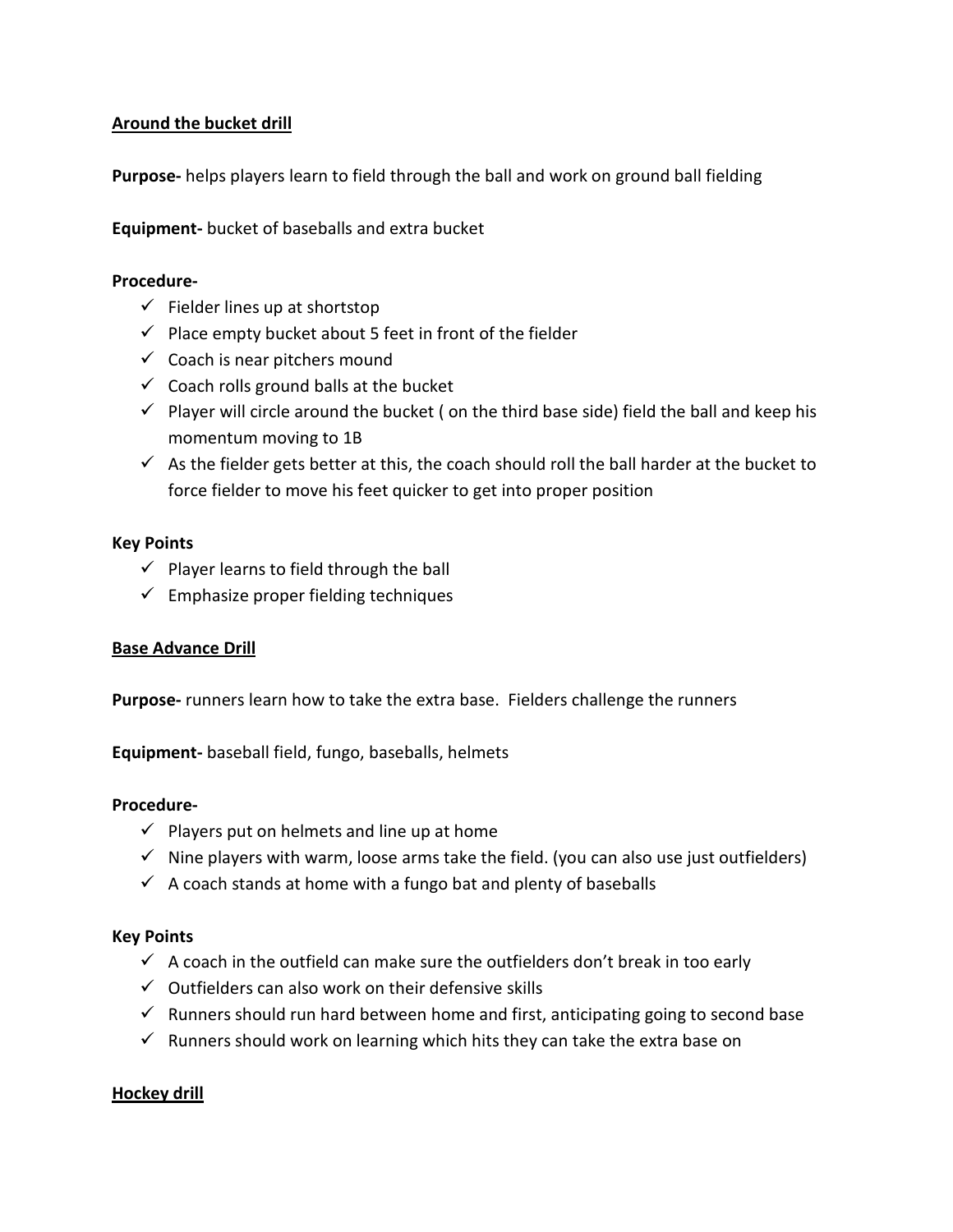## **Around the bucket drill**

**Purpose-** helps players learn to field through the ball and work on ground ball fielding

**Equipment-** bucket of baseballs and extra bucket

#### **Procedure-**

- $\checkmark$  Fielder lines up at shortstop
- $\checkmark$  Place empty bucket about 5 feet in front of the fielder
- $\checkmark$  Coach is near pitchers mound
- $\checkmark$  Coach rolls ground balls at the bucket
- $\checkmark$  Player will circle around the bucket ( on the third base side) field the ball and keep his momentum moving to 1B
- $\checkmark$  As the fielder gets better at this, the coach should roll the ball harder at the bucket to force fielder to move his feet quicker to get into proper position

#### **Key Points**

- $\checkmark$  Player learns to field through the ball
- $\checkmark$  Emphasize proper fielding techniques

#### **Base Advance Drill**

**Purpose-** runners learn how to take the extra base. Fielders challenge the runners

**Equipment-** baseball field, fungo, baseballs, helmets

#### **Procedure-**

- $\checkmark$  Players put on helmets and line up at home
- $\checkmark$  Nine players with warm, loose arms take the field. (you can also use just outfielders)
- $\checkmark$  A coach stands at home with a fungo bat and plenty of baseballs

#### **Key Points**

- $\checkmark$  A coach in the outfield can make sure the outfielders don't break in too early
- $\checkmark$  Outfielders can also work on their defensive skills
- $\checkmark$  Runners should run hard between home and first, anticipating going to second base
- $\checkmark$  Runners should work on learning which hits they can take the extra base on

#### **Hockey drill**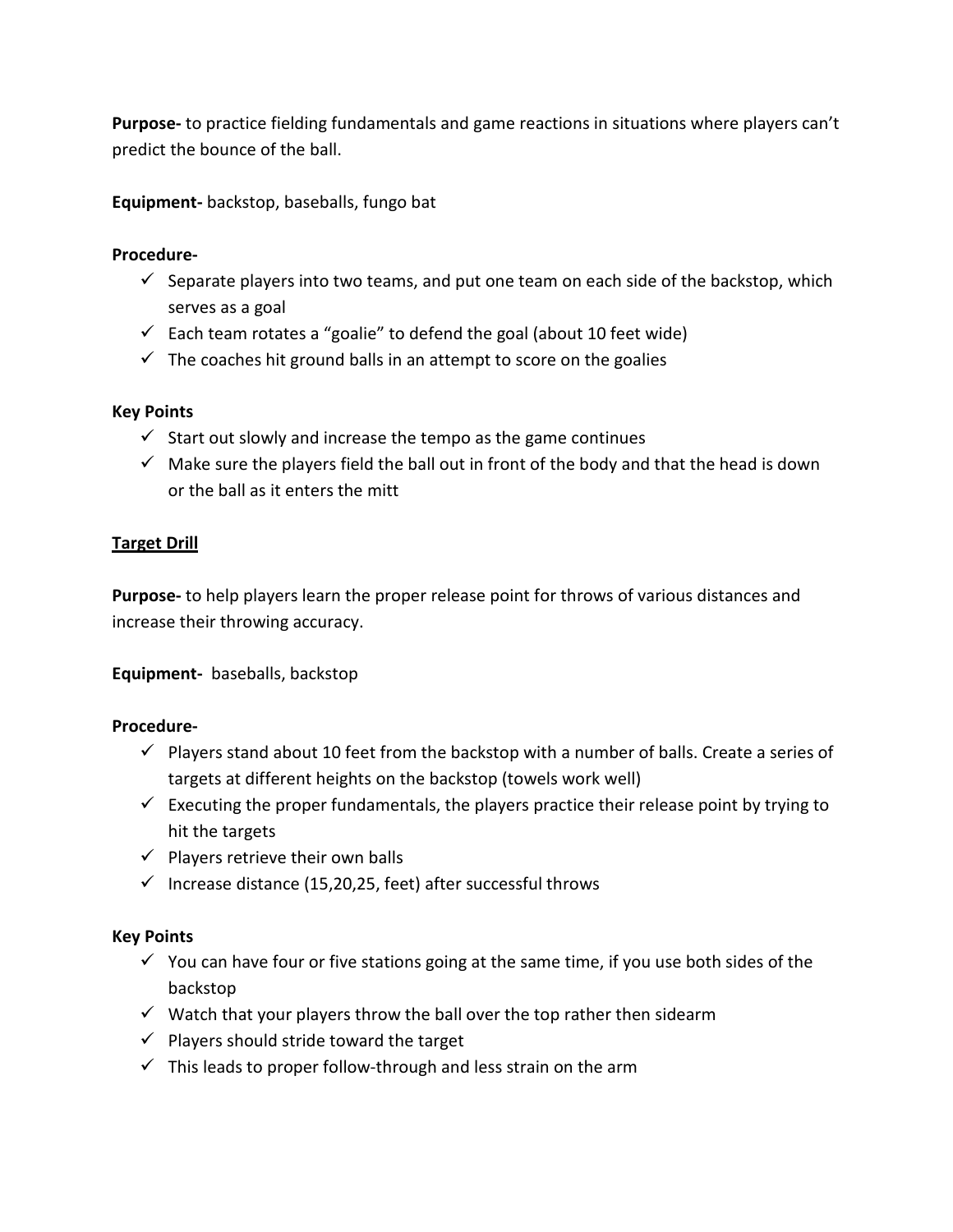**Purpose-** to practice fielding fundamentals and game reactions in situations where players can't predict the bounce of the ball.

**Equipment-** backstop, baseballs, fungo bat

#### **Procedure-**

- $\checkmark$  Separate players into two teams, and put one team on each side of the backstop, which serves as a goal
- $\checkmark$  Each team rotates a "goalie" to defend the goal (about 10 feet wide)
- $\checkmark$  The coaches hit ground balls in an attempt to score on the goalies

## **Key Points**

- $\checkmark$  Start out slowly and increase the tempo as the game continues
- $\checkmark$  Make sure the players field the ball out in front of the body and that the head is down or the ball as it enters the mitt

## **Target Drill**

**Purpose-** to help players learn the proper release point for throws of various distances and increase their throwing accuracy.

**Equipment-** baseballs, backstop

#### **Procedure-**

- $\checkmark$  Players stand about 10 feet from the backstop with a number of balls. Create a series of targets at different heights on the backstop (towels work well)
- $\checkmark$  Executing the proper fundamentals, the players practice their release point by trying to hit the targets
- $\checkmark$  Players retrieve their own balls
- $\checkmark$  Increase distance (15,20,25, feet) after successful throws

## **Key Points**

- $\checkmark$  You can have four or five stations going at the same time, if you use both sides of the backstop
- $\checkmark$  Watch that your players throw the ball over the top rather then sidearm
- $\checkmark$  Players should stride toward the target
- $\checkmark$  This leads to proper follow-through and less strain on the arm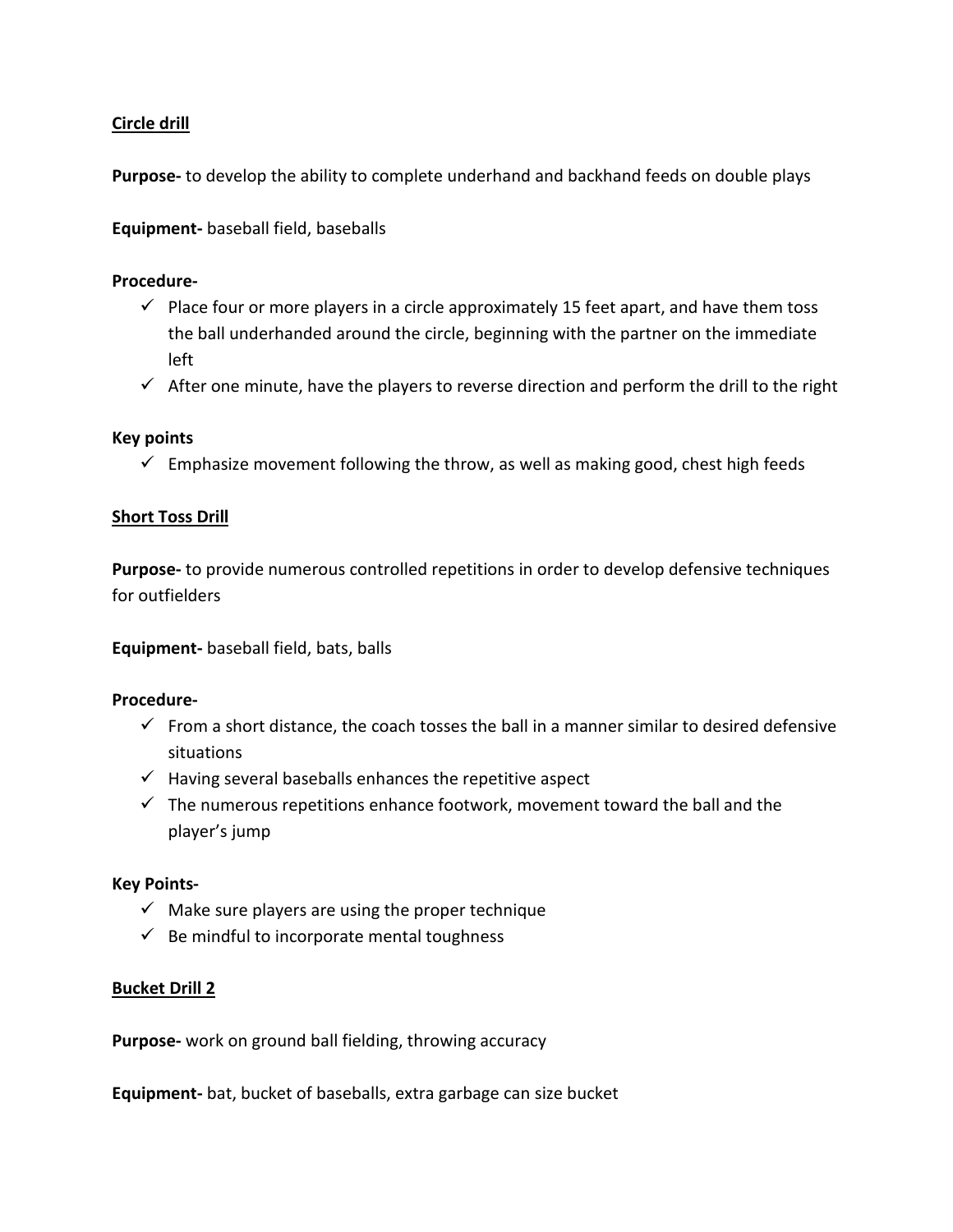## **Circle drill**

**Purpose-** to develop the ability to complete underhand and backhand feeds on double plays

**Equipment-** baseball field, baseballs

#### **Procedure-**

- $\checkmark$  Place four or more players in a circle approximately 15 feet apart, and have them toss the ball underhanded around the circle, beginning with the partner on the immediate left
- $\checkmark$  After one minute, have the players to reverse direction and perform the drill to the right

#### **Key points**

 $\checkmark$  Emphasize movement following the throw, as well as making good, chest high feeds

#### **Short Toss Drill**

**Purpose-** to provide numerous controlled repetitions in order to develop defensive techniques for outfielders

**Equipment-** baseball field, bats, balls

#### **Procedure-**

- $\checkmark$  From a short distance, the coach tosses the ball in a manner similar to desired defensive situations
- $\checkmark$  Having several baseballs enhances the repetitive aspect
- $\checkmark$  The numerous repetitions enhance footwork, movement toward the ball and the player's jump

#### **Key Points-**

- $\checkmark$  Make sure players are using the proper technique
- $\checkmark$  Be mindful to incorporate mental toughness

#### **Bucket Drill 2**

**Purpose-** work on ground ball fielding, throwing accuracy

**Equipment-** bat, bucket of baseballs, extra garbage can size bucket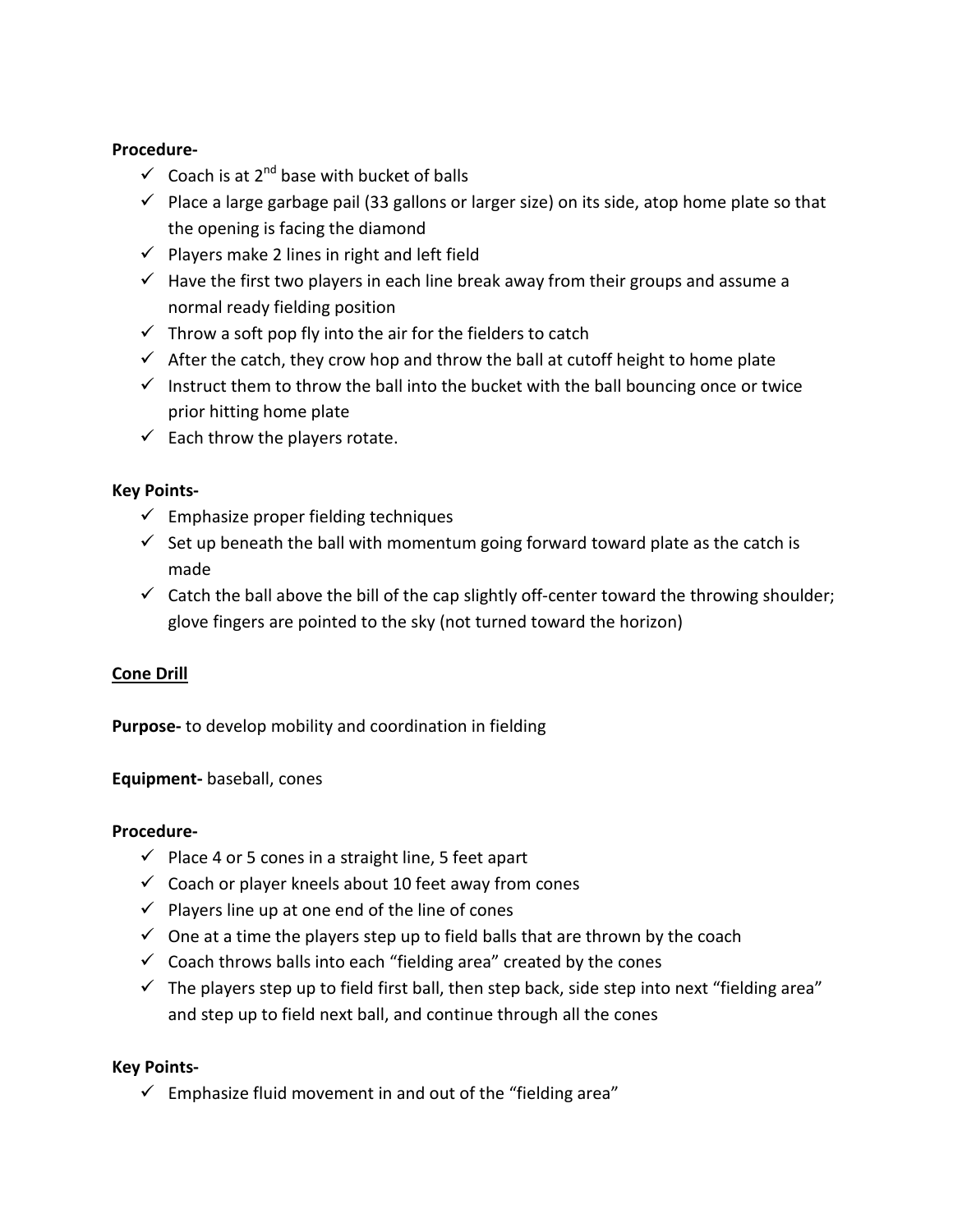## **Procedure-**

- $\checkmark$  Coach is at 2<sup>nd</sup> base with bucket of balls
- $\checkmark$  Place a large garbage pail (33 gallons or larger size) on its side, atop home plate so that the opening is facing the diamond
- $\checkmark$  Players make 2 lines in right and left field
- $\checkmark$  Have the first two players in each line break away from their groups and assume a normal ready fielding position
- $\checkmark$  Throw a soft pop fly into the air for the fielders to catch
- $\checkmark$  After the catch, they crow hop and throw the ball at cutoff height to home plate
- Instruct them to throw the ball into the bucket with the ball bouncing once or twice prior hitting home plate
- $\checkmark$  Each throw the players rotate.

## **Key Points-**

- $\checkmark$  Emphasize proper fielding techniques
- $\checkmark$  Set up beneath the ball with momentum going forward toward plate as the catch is made
- $\checkmark$  Catch the ball above the bill of the cap slightly off-center toward the throwing shoulder; glove fingers are pointed to the sky (not turned toward the horizon)

## **Cone Drill**

**Purpose-** to develop mobility and coordination in fielding

**Equipment-** baseball, cones

#### **Procedure-**

- $\checkmark$  Place 4 or 5 cones in a straight line, 5 feet apart
- $\checkmark$  Coach or player kneels about 10 feet away from cones
- $\checkmark$  Players line up at one end of the line of cones
- $\checkmark$  One at a time the players step up to field balls that are thrown by the coach
- $\checkmark$  Coach throws balls into each "fielding area" created by the cones
- $\checkmark$  The players step up to field first ball, then step back, side step into next "fielding area" and step up to field next ball, and continue through all the cones

#### **Key Points-**

 $\checkmark$  Emphasize fluid movement in and out of the "fielding area"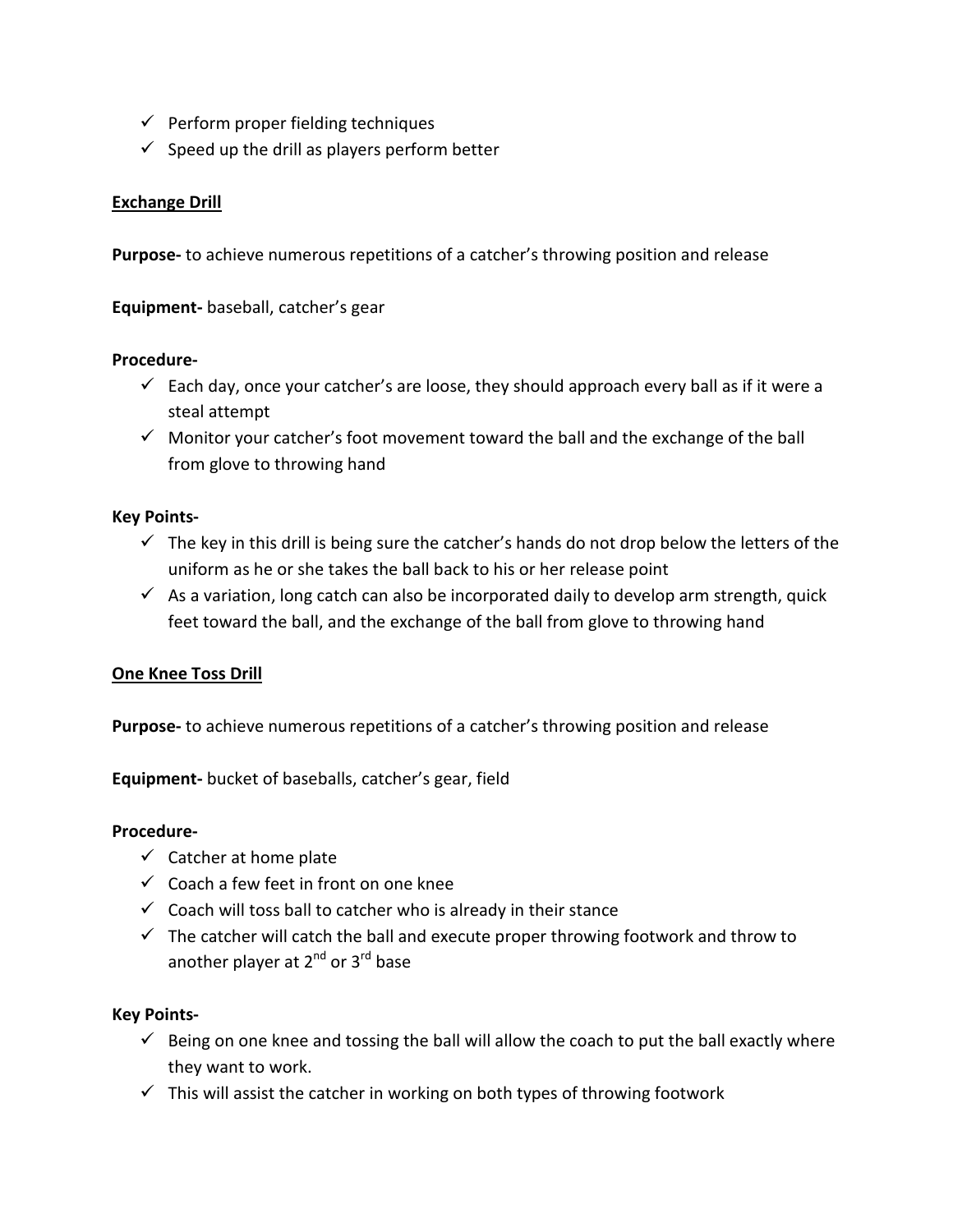- $\checkmark$  Perform proper fielding techniques
- $\checkmark$  Speed up the drill as players perform better

## **Exchange Drill**

**Purpose-** to achieve numerous repetitions of a catcher's throwing position and release

**Equipment-** baseball, catcher's gear

#### **Procedure-**

- $\checkmark$  Each day, once your catcher's are loose, they should approach every ball as if it were a steal attempt
- $\checkmark$  Monitor your catcher's foot movement toward the ball and the exchange of the ball from glove to throwing hand

#### **Key Points-**

- $\checkmark$  The key in this drill is being sure the catcher's hands do not drop below the letters of the uniform as he or she takes the ball back to his or her release point
- $\checkmark$  As a variation, long catch can also be incorporated daily to develop arm strength, quick feet toward the ball, and the exchange of the ball from glove to throwing hand

#### **One Knee Toss Drill**

**Purpose-** to achieve numerous repetitions of a catcher's throwing position and release

**Equipment-** bucket of baseballs, catcher's gear, field

#### **Procedure-**

- $\checkmark$  Catcher at home plate
- $\checkmark$  Coach a few feet in front on one knee
- $\checkmark$  Coach will toss ball to catcher who is already in their stance
- $\checkmark$  The catcher will catch the ball and execute proper throwing footwork and throw to another player at  $2^{nd}$  or  $3^{rd}$  base

#### **Key Points-**

- $\checkmark$  Being on one knee and tossing the ball will allow the coach to put the ball exactly where they want to work.
- $\checkmark$  This will assist the catcher in working on both types of throwing footwork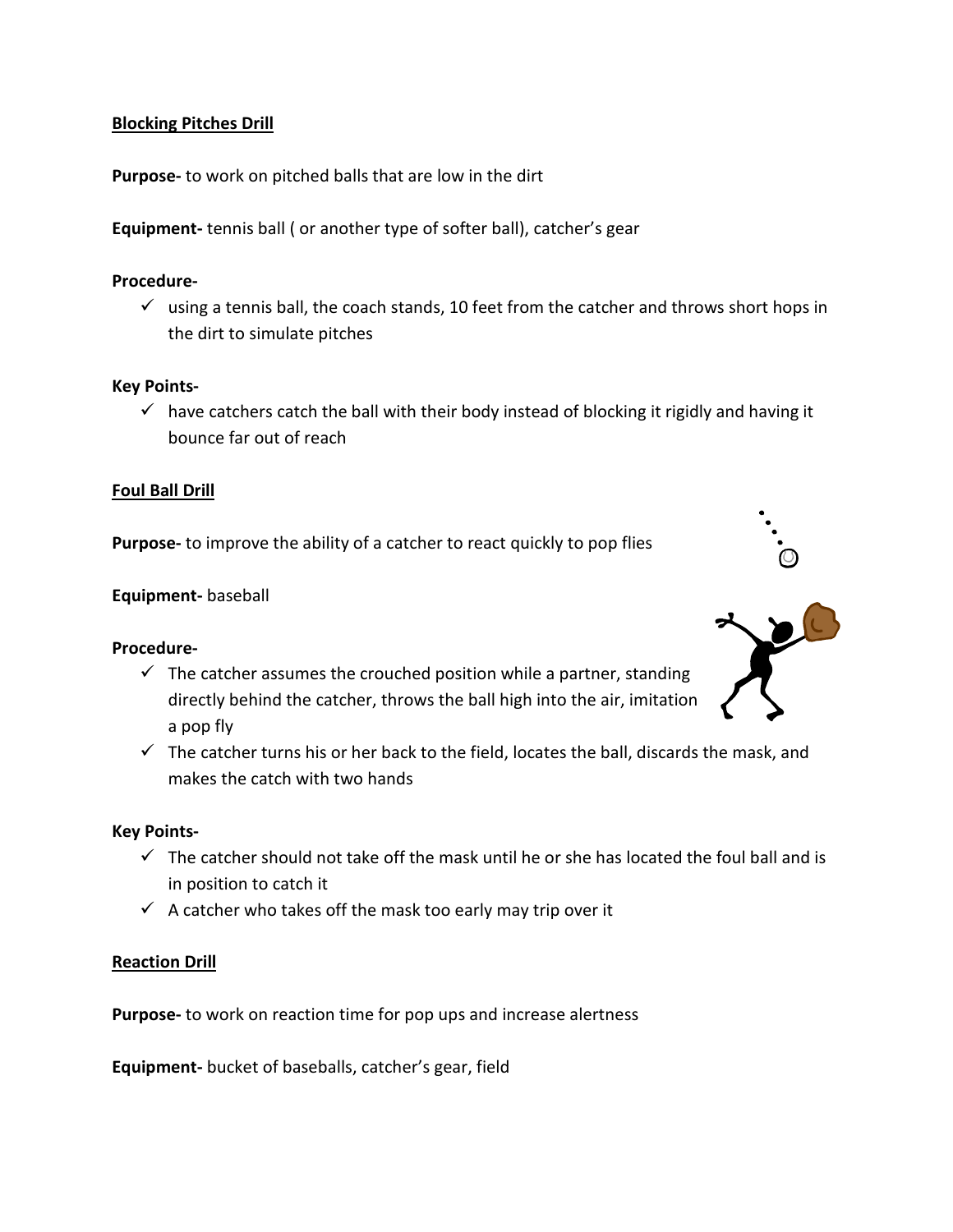## **Blocking Pitches Drill**

**Purpose-** to work on pitched balls that are low in the dirt

**Equipment-** tennis ball ( or another type of softer ball), catcher's gear

#### **Procedure-**

 $\checkmark$  using a tennis ball, the coach stands, 10 feet from the catcher and throws short hops in the dirt to simulate pitches

#### **Key Points-**

 $\checkmark$  have catchers catch the ball with their body instead of blocking it rigidly and having it bounce far out of reach

#### **Foul Ball Drill**

**Purpose-** to improve the ability of a catcher to react quickly to pop flies

#### **Equipment-** baseball

#### **Procedure-**

- $\checkmark$  The catcher assumes the crouched position while a partner, standing directly behind the catcher, throws the ball high into the air, imitation a pop fly
- $\checkmark$  The catcher turns his or her back to the field, locates the ball, discards the mask, and makes the catch with two hands

#### **Key Points-**

- $\checkmark$  The catcher should not take off the mask until he or she has located the foul ball and is in position to catch it
- $\checkmark$  A catcher who takes off the mask too early may trip over it

#### **Reaction Drill**

**Purpose-** to work on reaction time for pop ups and increase alertness

**Equipment-** bucket of baseballs, catcher's gear, field

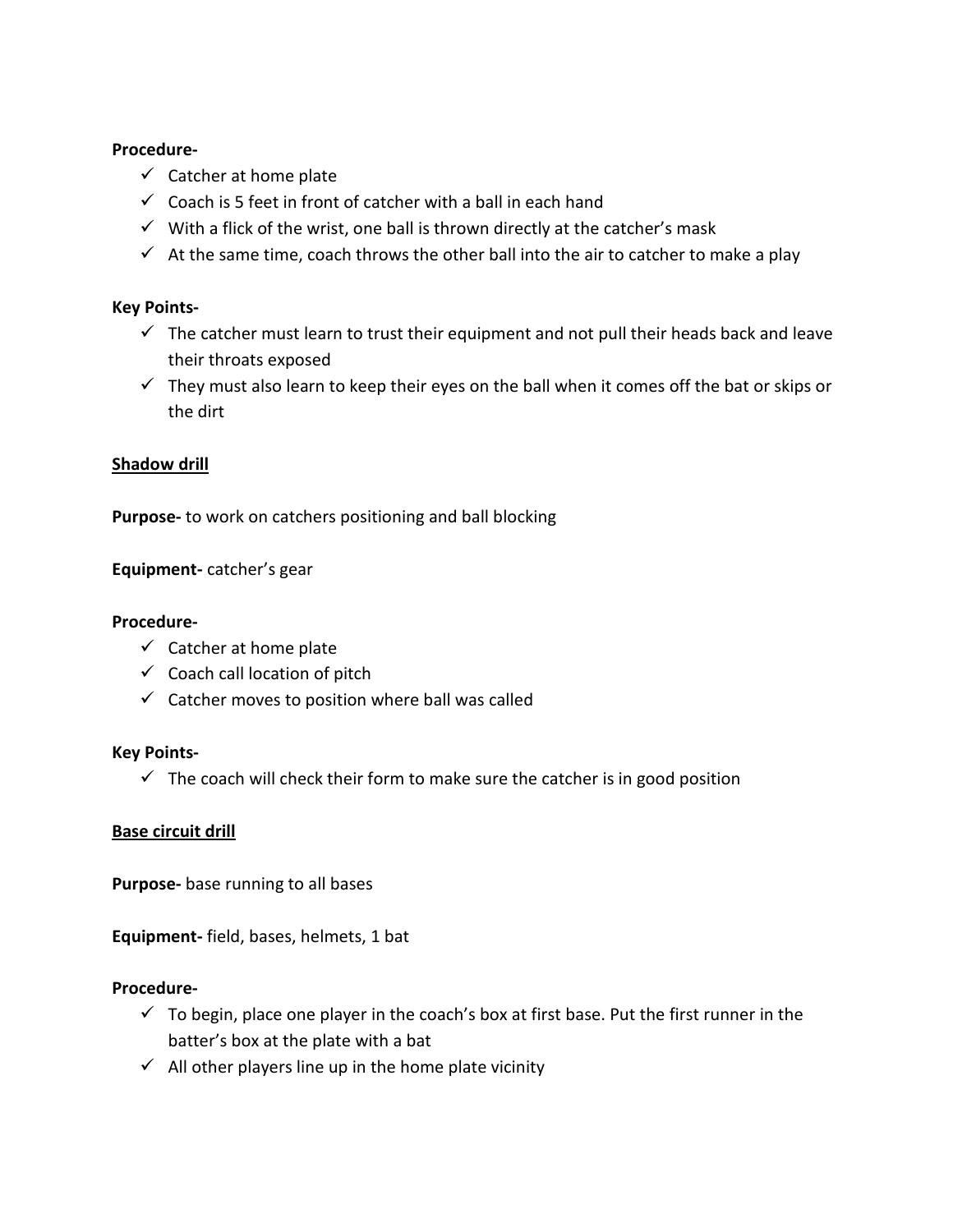#### **Procedure-**

- $\checkmark$  Catcher at home plate
- $\checkmark$  Coach is 5 feet in front of catcher with a ball in each hand
- $\checkmark$  With a flick of the wrist, one ball is thrown directly at the catcher's mask
- $\checkmark$  At the same time, coach throws the other ball into the air to catcher to make a play

## **Key Points-**

- $\checkmark$  The catcher must learn to trust their equipment and not pull their heads back and leave their throats exposed
- $\checkmark$  They must also learn to keep their eyes on the ball when it comes off the bat or skips or the dirt

## **Shadow drill**

**Purpose-** to work on catchers positioning and ball blocking

**Equipment-** catcher's gear

#### **Procedure-**

- $\checkmark$  Catcher at home plate
- $\checkmark$  Coach call location of pitch
- $\checkmark$  Catcher moves to position where ball was called

#### **Key Points-**

 $\checkmark$  The coach will check their form to make sure the catcher is in good position

#### **Base circuit drill**

**Purpose-** base running to all bases

**Equipment-** field, bases, helmets, 1 bat

- $\checkmark$  To begin, place one player in the coach's box at first base. Put the first runner in the batter's box at the plate with a bat
- $\checkmark$  All other players line up in the home plate vicinity